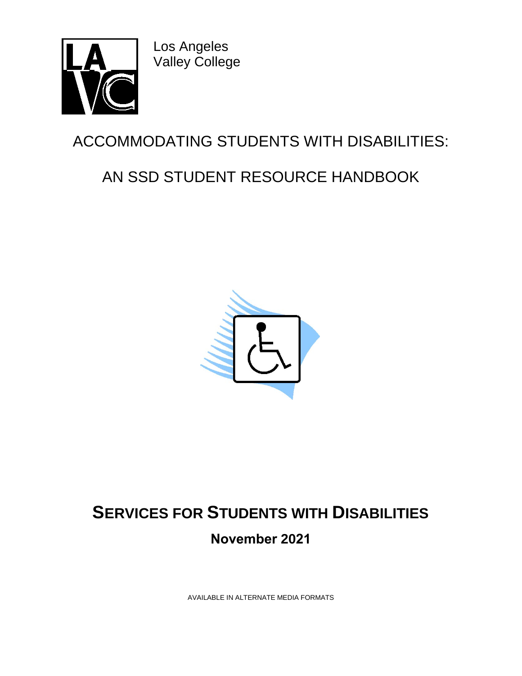

Los Angeles Valley College

# ACCOMMODATING STUDENTS WITH DISABILITIES:

# AN SSD STUDENT RESOURCE HANDBOOK



# **SERVICES FOR STUDENTS WITH DISABILITIES November 2021**

AVAILABLE IN ALTERNATE MEDIA FORMATS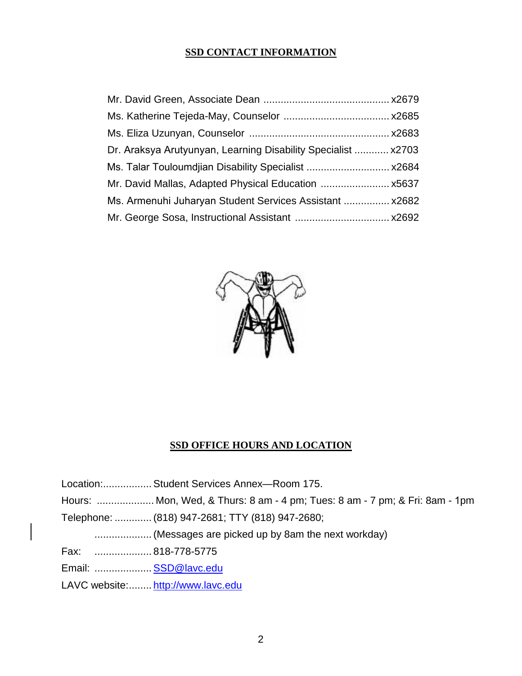### **SSD CONTACT INFORMATION**

| Dr. Araksya Arutyunyan, Learning Disability Specialist  x2703 |  |
|---------------------------------------------------------------|--|
| Ms. Talar Touloumdjian Disability Specialist  x2684           |  |
|                                                               |  |
| Ms. Armenuhi Juharyan Student Services Assistant  x2682       |  |
|                                                               |  |



## **SSD OFFICE HOURS AND LOCATION**

|                      | Location: Student Services Annex-Room 175.                                  |
|----------------------|-----------------------------------------------------------------------------|
|                      | Hours:  Mon, Wed, & Thurs: 8 am - 4 pm; Tues: 8 am - 7 pm; & Fri: 8am - 1pm |
|                      | Telephone:  (818) 947-2681; TTY (818) 947-2680;                             |
|                      |                                                                             |
|                      |                                                                             |
| Email:  SSD@lavc.edu |                                                                             |
|                      | LAVC website: http://www.lavc.edu                                           |
|                      |                                                                             |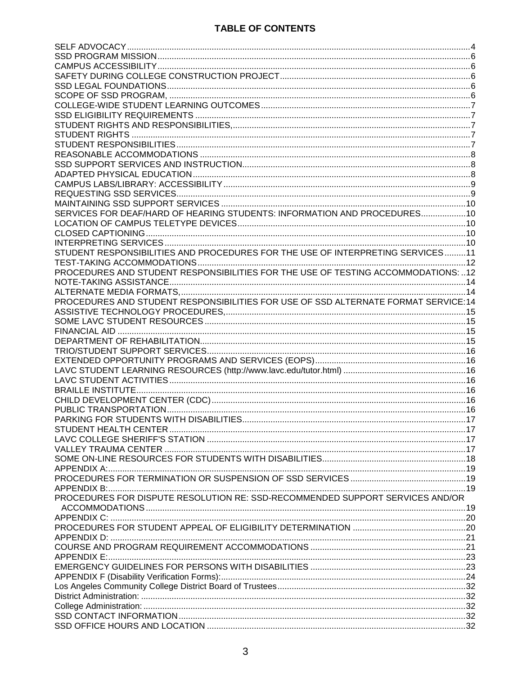## **TABLE OF CONTENTS**

| SERVICES FOR DEAF/HARD OF HEARING STUDENTS: INFORMATION AND PROCEDURES             |  |
|------------------------------------------------------------------------------------|--|
|                                                                                    |  |
|                                                                                    |  |
|                                                                                    |  |
|                                                                                    |  |
| STUDENT RESPONSIBILITIES AND PROCEDURES FOR THE USE OF INTERPRETING SERVICES11     |  |
|                                                                                    |  |
| PROCEDURES AND STUDENT RESPONSIBILITIES FOR THE USE OF TESTING ACCOMMODATIONS: 12  |  |
|                                                                                    |  |
|                                                                                    |  |
|                                                                                    |  |
| PROCEDURES AND STUDENT RESPONSIBILITIES FOR USE OF SSD ALTERNATE FORMAT SERVICE:14 |  |
|                                                                                    |  |
|                                                                                    |  |
|                                                                                    |  |
|                                                                                    |  |
|                                                                                    |  |
|                                                                                    |  |
|                                                                                    |  |
|                                                                                    |  |
|                                                                                    |  |
|                                                                                    |  |
|                                                                                    |  |
|                                                                                    |  |
|                                                                                    |  |
|                                                                                    |  |
|                                                                                    |  |
|                                                                                    |  |
|                                                                                    |  |
|                                                                                    |  |
|                                                                                    |  |
|                                                                                    |  |
|                                                                                    |  |
| PROCEDURES FOR DISPUTE RESOLUTION RE: SSD-RECOMMENDED SUPPORT SERVICES AND/OR      |  |
|                                                                                    |  |
|                                                                                    |  |
|                                                                                    |  |
|                                                                                    |  |
|                                                                                    |  |
|                                                                                    |  |
|                                                                                    |  |
|                                                                                    |  |
|                                                                                    |  |
|                                                                                    |  |
|                                                                                    |  |
|                                                                                    |  |
|                                                                                    |  |
|                                                                                    |  |
|                                                                                    |  |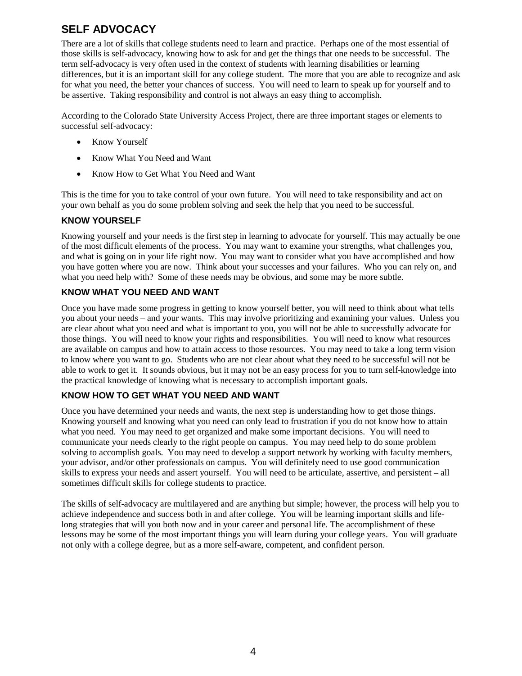## <span id="page-3-0"></span>**SELF ADVOCACY**

There are a lot of skills that college students need to learn and practice. Perhaps one of the most essential of those skills is self-advocacy, knowing how to ask for and get the things that one needs to be successful. The term self-advocacy is very often used in the context of students with learning disabilities or learning differences, but it is an important skill for any college student. The more that you are able to recognize and ask for what you need, the better your chances of success. You will need to learn to speak up for yourself and to be assertive. Taking responsibility and control is not always an easy thing to accomplish.

According to the Colorado State University Access Project, there are three important stages or elements to successful self-advocacy:

- Know Yourself
- Know What You Need and Want
- Know How to Get What You Need and Want

This is the time for you to take control of your own future. You will need to take responsibility and act on your own behalf as you do some problem solving and seek the help that you need to be successful.

#### **KNOW YOURSELF**

Knowing yourself and your needs is the first step in learning to advocate for yourself. This may actually be one of the most difficult elements of the process. You may want to examine your strengths, what challenges you, and what is going on in your life right now. You may want to consider what you have accomplished and how you have gotten where you are now. Think about your successes and your failures. Who you can rely on, and what you need help with? Some of these needs may be obvious, and some may be more subtle.

#### **KNOW WHAT YOU NEED AND WANT**

Once you have made some progress in getting to know yourself better, you will need to think about what tells you about your needs – and your wants. This may involve prioritizing and examining your values. Unless you are clear about what you need and what is important to you, you will not be able to successfully advocate for those things. You will need to know your rights and responsibilities. You will need to know what resources are available on campus and how to attain access to those resources. You may need to take a long term vision to know where you want to go. Students who are not clear about what they need to be successful will not be able to work to get it. It sounds obvious, but it may not be an easy process for you to turn self-knowledge into the practical knowledge of knowing what is necessary to accomplish important goals.

#### **KNOW HOW TO GET WHAT YOU NEED AND WANT**

Once you have determined your needs and wants, the next step is understanding how to get those things. Knowing yourself and knowing what you need can only lead to frustration if you do not know how to attain what you need. You may need to get organized and make some important decisions. You will need to communicate your needs clearly to the right people on campus. You may need help to do some problem solving to accomplish goals. You may need to develop a support network by working with faculty members, your advisor, and/or other professionals on campus. You will definitely need to use good communication skills to express your needs and assert yourself. You will need to be articulate, assertive, and persistent – all sometimes difficult skills for college students to practice.

The skills of self-advocacy are multilayered and are anything but simple; however, the process will help you to achieve independence and success both in and after college. You will be learning important skills and lifelong strategies that will you both now and in your career and personal life. The accomplishment of these lessons may be some of the most important things you will learn during your college years. You will graduate not only with a college degree, but as a more self-aware, competent, and confident person.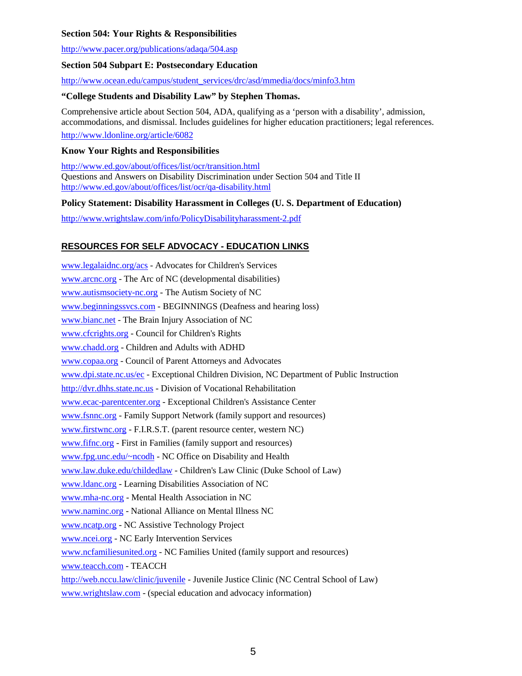#### **Section 504: Your Rights & Responsibilities**

<http://www.pacer.org/publications/adaqa/504.asp>

#### **Section 504 Subpart E: Postsecondary Education**

[http://www.ocean.edu/campus/student\\_services/drc/asd/mmedia/docs/minfo3.htm](http://www.ocean.edu/campus/student_services/drc/asd/mmedia/docs/minfo3.htm)

#### **"College Students and Disability Law" by Stephen Thomas.**

Comprehensive article about Section 504, ADA, qualifying as a 'person with a disability', admission, accommodations, and dismissal. Includes guidelines for higher education practitioners; legal references. <http://www.ldonline.org/article/6082>

#### **Know Your Rights and Responsibilities**

<http://www.ed.gov/about/offices/list/ocr/transition.html> Questions and Answers on Disability Discrimination under Section 504 and Title II <http://www.ed.gov/about/offices/list/ocr/qa-disability.html>

#### **Policy Statement: Disability Harassment in Colleges (U. S. Department of Education)**

<http://www.wrightslaw.com/info/PolicyDisabilityharassment-2.pdf>

#### **RESOURCES FOR SELF ADVOCACY - EDUCATION LINKS**

[www.legalaidnc.org/acs](http://www.legalaidnc.org/acs) - Advocates for Children's Services [www.arcnc.org](http://www.arcnc.org/) - The Arc of NC (developmental disabilities) [www.autismsociety-nc.org](http://www.autismsociety-nc.org/) - The Autism Society of NC [www.beginningssvcs.com](http://www.beginningssvcs.com/) - BEGINNINGS (Deafness and hearing loss) [www.bianc.net](http://www.bianc.net/) - The Brain Injury Association of NC [www.cfcrights.org](http://www.cfcrights.org/) - Council for Children's Rights [www.chadd.org](http://www.chadd.org/) - Children and Adults with ADHD [www.copaa.org](http://www.copaa.org/) - Council of Parent Attorneys and Advocates [www.dpi.state.nc.us/ec](http://www.dpi.state.nc.us/ec) - Exceptional Children Division, NC Department of Public Instruction [http://dvr.dhhs.state.nc.us](http://dvr.dhhs.state.nc.us/) - Division of Vocational Rehabilitation [www.ecac-parentcenter.org](http://www.ecac-parentcenter.org/) - Exceptional Children's Assistance Center [www.fsnnc.org](http://www.fsnnc.org/) - Family Support Network (family support and resources) [www.firstwnc.org](http://www.firstwnc.org/) - F.I.R.S.T. (parent resource center, western NC) [www.fifnc.org](http://www.fifnc.org/) - First in Families (family support and resources) [www.fpg.unc.edu/~ncodh](http://www.fpg.unc.edu/%7Encodh) - NC Office on Disability and Health [www.law.duke.edu/childedlaw -](http://www.law.duke.edu/childedlaw) Children's Law Clinic (Duke School of Law) [www.ldanc.org](http://www.ldanc.org/) - Learning Disabilities Association of NC [www.mha-nc.org](http://www.mha-nc.org/) - Mental Health Association in NC [www.naminc.org](http://www.naminc.org/) - National Alliance on Mental Illness NC [www.ncatp.org](http://www.ncatp.org/) - NC Assistive Technology Project [www.ncei.org](http://www.ncei.org/) - NC Early Intervention Services [www.ncfamiliesunited.org](http://www.ncfamiliesunited.org/) - NC Families United (family support and resources) [www.teacch.com](http://www.teacch.com/) - TEACCH <http://web.nccu.law/clinic/juvenile>- Juvenile Justice Clinic (NC Central School of Law) [www.wrightslaw.com](http://www.wrightslaw.com/) - (special education and advocacy information)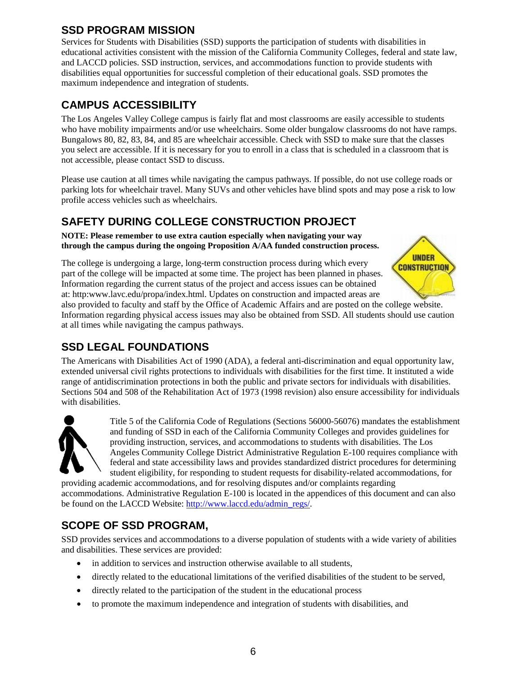## <span id="page-5-0"></span>**SSD PROGRAM MISSION**

Services for Students with Disabilities (SSD) supports the participation of students with disabilities in educational activities consistent with the mission of the California Community Colleges, federal and state law, and LACCD policies. SSD instruction, services, and accommodations function to provide students with disabilities equal opportunities for successful completion of their educational goals. SSD promotes the maximum independence and integration of students.

## <span id="page-5-1"></span>**CAMPUS ACCESSIBILITY**

The Los Angeles Valley College campus is fairly flat and most classrooms are easily accessible to students who have mobility impairments and/or use wheelchairs. Some older bungalow classrooms do not have ramps. Bungalows 80, 82, 83, 84, and 85 are wheelchair accessible. Check with SSD to make sure that the classes you select are accessible. If it is necessary for you to enroll in a class that is scheduled in a classroom that is not accessible, please contact SSD to discuss.

Please use caution at all times while navigating the campus pathways. If possible, do not use college roads or parking lots for wheelchair travel. Many SUVs and other vehicles have blind spots and may pose a risk to low profile access vehicles such as wheelchairs.

## <span id="page-5-2"></span>**SAFETY DURING COLLEGE CONSTRUCTION PROJECT**

**NOTE: Please remember to use extra caution especially when navigating your way through the campus during the ongoing Proposition A/AA funded construction process.**

The college is undergoing a large, long-term construction process during which every part of the college will be impacted at some time. The project has been planned in phases. Information regarding the current status of the project and access issues can be obtained at: http:www.lavc.edu/propa/index.html. Updates on construction and impacted areas are



also provided to faculty and staff by the Office of Academic Affairs and are posted on the college website. Information regarding physical access issues may also be obtained from SSD. All students should use caution at all times while navigating the campus pathways.

## <span id="page-5-3"></span>**SSD LEGAL FOUNDATIONS**

The Americans with Disabilities Act of 1990 (ADA), a federal anti-discrimination and equal opportunity law, extended universal civil rights protections to individuals with disabilities for the first time. It instituted a wide range of antidiscrimination protections in both the public and private sectors for individuals with disabilities. Sections 504 and 508 of the Rehabilitation Act of 1973 (1998 revision) also ensure accessibility for individuals with disabilities.



Title 5 of the California Code of Regulations (Sections 56000-56076) mandates the establishment and funding of SSD in each of the California Community Colleges and provides guidelines for providing instruction, services, and accommodations to students with disabilities. The Los Angeles Community College District Administrative Regulation E-100 requires compliance with federal and state accessibility laws and provides standardized district procedures for determining student eligibility, for responding to student requests for disability-related accommodations, for

providing academic accommodations, and for resolving disputes and/or complaints regarding accommodations. Administrative Regulation E-100 is located in the appendices of this document and can also be found on the LACCD Website: [http://www.laccd.edu/admin\\_regs/.](http://www.laccd.edu/admin_regs/)

## <span id="page-5-4"></span>**SCOPE OF SSD PROGRAM,**

SSD provides services and accommodations to a diverse population of students with a wide variety of abilities and disabilities. These services are provided:

- in addition to services and instruction otherwise available to all students,
- directly related to the educational limitations of the verified disabilities of the student to be served,
- directly related to the participation of the student in the educational process
- to promote the maximum independence and integration of students with disabilities, and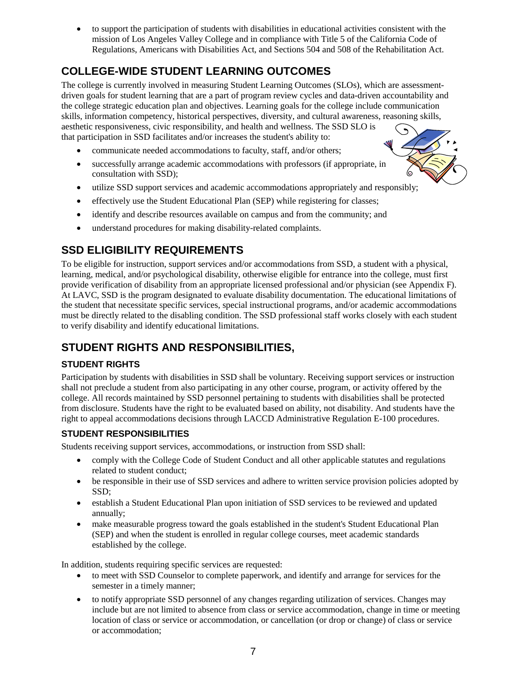• to support the participation of students with disabilities in educational activities consistent with the mission of Los Angeles Valley College and in compliance with Title 5 of the California Code of Regulations, Americans with Disabilities Act, and Sections 504 and 508 of the Rehabilitation Act.

## <span id="page-6-0"></span>**COLLEGE-WIDE STUDENT LEARNING OUTCOMES**

The college is currently involved in measuring Student Learning Outcomes (SLOs), which are assessmentdriven goals for student learning that are a part of program review cycles and data-driven accountability and the college strategic education plan and objectives. Learning goals for the college include communication skills, information competency, historical perspectives, diversity, and cultural awareness, reasoning skills, aesthetic responsiveness, civic responsibility, and health and wellness. The SSD SLO is that participation in SSD facilitates and/or increases the student's ability to:

- communicate needed accommodations to faculty, staff, and/or others;
- successfully arrange academic accommodations with professors (if appropriate, in consultation with SSD);
- utilize SSD support services and academic accommodations appropriately and responsibly;
- effectively use the Student Educational Plan (SEP) while registering for classes;
- identify and describe resources available on campus and from the community; and
- understand procedures for making disability-related complaints.

## <span id="page-6-1"></span>**SSD ELIGIBILITY REQUIREMENTS**

To be eligible for instruction, support services and/or accommodations from SSD, a student with a physical, learning, medical, and/or psychological disability, otherwise eligible for entrance into the college, must first provide verification of disability from an appropriate licensed professional and/or physician (see Appendix F). At LAVC, SSD is the program designated to evaluate disability documentation. The educational limitations of the student that necessitate specific services, special instructional programs, and/or academic accommodations must be directly related to the disabling condition. The SSD professional staff works closely with each student to verify disability and identify educational limitations.

## <span id="page-6-2"></span>**STUDENT RIGHTS AND RESPONSIBILITIES,**

#### <span id="page-6-3"></span>**STUDENT RIGHTS**

Participation by students with disabilities in SSD shall be voluntary. Receiving support services or instruction shall not preclude a student from also participating in any other course, program, or activity offered by the college. All records maintained by SSD personnel pertaining to students with disabilities shall be protected from disclosure. Students have the right to be evaluated based on ability, not disability. And students have the right to appeal accommodations decisions through LACCD Administrative Regulation E-100 procedures.

#### <span id="page-6-4"></span>**STUDENT RESPONSIBILITIES**

Students receiving support services, accommodations, or instruction from SSD shall:

- comply with the College Code of Student Conduct and all other applicable statutes and regulations related to student conduct;
- be responsible in their use of SSD services and adhere to written service provision policies adopted by SSD;
- establish a Student Educational Plan upon initiation of SSD services to be reviewed and updated annually;
- make measurable progress toward the goals established in the student's Student Educational Plan (SEP) and when the student is enrolled in regular college courses, meet academic standards established by the college.

In addition, students requiring specific services are requested:

- to meet with SSD Counselor to complete paperwork, and identify and arrange for services for the semester in a timely manner;
- to notify appropriate SSD personnel of any changes regarding utilization of services. Changes may include but are not limited to absence from class or service accommodation, change in time or meeting location of class or service or accommodation, or cancellation (or drop or change) of class or service or accommodation;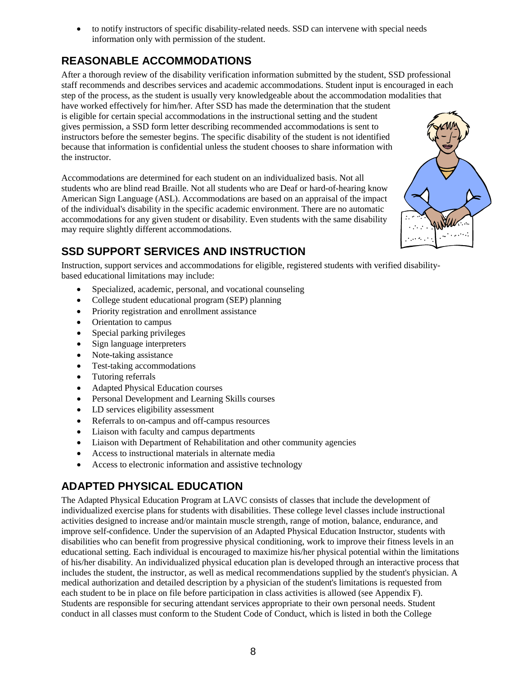• to notify instructors of specific disability-related needs. SSD can intervene with special needs information only with permission of the student.

## <span id="page-7-0"></span>**REASONABLE ACCOMMODATIONS**

After a thorough review of the disability verification information submitted by the student, SSD professional staff recommends and describes services and academic accommodations. Student input is encouraged in each step of the process, as the student is usually very knowledgeable about the accommodation modalities that have worked effectively for him/her. After SSD has made the determination that the student is eligible for certain special accommodations in the instructional setting and the student gives permission, a SSD form letter describing recommended accommodations is sent to instructors before the semester begins. The specific disability of the student is not identified because that information is confidential unless the student chooses to share information with the instructor.

Accommodations are determined for each student on an individualized basis. Not all students who are blind read Braille. Not all students who are Deaf or hard-of-hearing know American Sign Language (ASL). Accommodations are based on an appraisal of the impact of the individual's disability in the specific academic environment. There are no automatic accommodations for any given student or disability. Even students with the same disability may require slightly different accommodations.

## <span id="page-7-1"></span>**SSD SUPPORT SERVICES AND INSTRUCTION**

Instruction, support services and accommodations for eligible, registered students with verified disabilitybased educational limitations may include:

- Specialized, academic, personal, and vocational counseling
- College student educational program (SEP) planning
- Priority registration and enrollment assistance
- Orientation to campus
- Special parking privileges
- Sign language interpreters
- Note-taking assistance
- Test-taking accommodations
- Tutoring referrals
- Adapted Physical Education courses
- Personal Development and Learning Skills courses
- LD services eligibility assessment
- Referrals to on-campus and off-campus resources
- Liaison with faculty and campus departments
- Liaison with Department of Rehabilitation and other community agencies
- Access to instructional materials in alternate media
- Access to electronic information and assistive technology

## <span id="page-7-2"></span>**ADAPTED PHYSICAL EDUCATION**

The Adapted Physical Education Program at LAVC consists of classes that include the development of individualized exercise plans for students with disabilities. These college level classes include instructional activities designed to increase and/or maintain muscle strength, range of motion, balance, endurance, and improve self-confidence. Under the supervision of an Adapted Physical Education Instructor, students with disabilities who can benefit from progressive physical conditioning, work to improve their fitness levels in an educational setting. Each individual is encouraged to maximize his/her physical potential within the limitations of his/her disability. An individualized physical education plan is developed through an interactive process that includes the student, the instructor, as well as medical recommendations supplied by the student's physician. A medical authorization and detailed description by a physician of the student's limitations is requested from each student to be in place on file before participation in class activities is allowed (see Appendix F). Students are responsible for securing attendant services appropriate to their own personal needs. Student conduct in all classes must conform to the Student Code of Conduct, which is listed in both the College

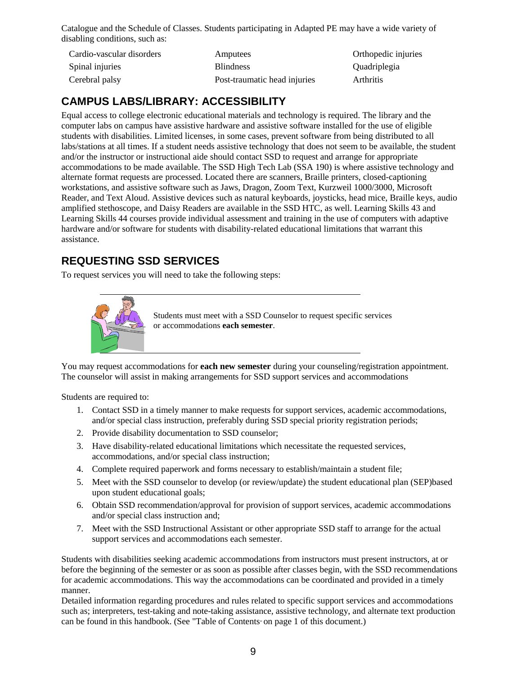Catalogue and the Schedule of Classes. Students participating in Adapted PE may have a wide variety of disabling conditions, such as:

| Cardio-vascular disorders | Amputees                     | Orthopedic injuries |
|---------------------------|------------------------------|---------------------|
| Spinal injuries           | <b>Blindness</b>             | Quadriplegia        |
| Cerebral palsy            | Post-traumatic head injuries | Arthritis           |

## <span id="page-8-0"></span>**CAMPUS LABS/LIBRARY: ACCESSIBILITY**

Equal access to college electronic educational materials and technology is required. The library and the computer labs on campus have assistive hardware and assistive software installed for the use of eligible students with disabilities. Limited licenses, in some cases, prevent software from being distributed to all labs/stations at all times. If a student needs assistive technology that does not seem to be available, the student and/or the instructor or instructional aide should contact SSD to request and arrange for appropriate accommodations to be made available. The SSD High Tech Lab (SSA 190) is where assistive technology and alternate format requests are processed. Located there are scanners, Braille printers, closed-captioning workstations, and assistive software such as Jaws, Dragon, Zoom Text, Kurzweil 1000/3000, Microsoft Reader, and Text Aloud. Assistive devices such as natural keyboards, joysticks, head mice, Braille keys, audio amplified stethoscope, and Daisy Readers are available in the SSD HTC, as well. Learning Skills 43 and Learning Skills 44 courses provide individual assessment and training in the use of computers with adaptive hardware and/or software for students with disability-related educational limitations that warrant this assistance.

## <span id="page-8-1"></span>**REQUESTING SSD SERVICES**

To request services you will need to take the following steps:



Students must meet with a SSD Counselor to request specific services or accommodations **each semester**.

You may request accommodations for **each new semester** during your counseling/registration appointment. The counselor will assist in making arrangements for SSD support services and accommodations

Students are required to:

- 1. Contact SSD in a timely manner to make requests for support services, academic accommodations, and/or special class instruction, preferably during SSD special priority registration periods;
- 2. Provide disability documentation to SSD counselor;
- 3. Have disability-related educational limitations which necessitate the requested services, accommodations, and/or special class instruction;
- 4. Complete required paperwork and forms necessary to establish/maintain a student file;
- 5. Meet with the SSD counselor to develop (or review/update) the student educational plan (SEP)based upon student educational goals;
- 6. Obtain SSD recommendation/approval for provision of support services, academic accommodations and/or special class instruction and;
- 7. Meet with the SSD Instructional Assistant or other appropriate SSD staff to arrange for the actual support services and accommodations each semester.

Students with disabilities seeking academic accommodations from instructors must present instructors, at or before the beginning of the semester or as soon as possible after classes begin, with the SSD recommendations for academic accommodations. This way the accommodations can be coordinated and provided in a timely manner.

Detailed information regarding procedures and rules related to specific support services and accommodations such as; interpreters, test-taking and note-taking assistance, assistive technology, and alternate text production can be found in this handbook. (See "Table of Contents" on page 1 of this document.)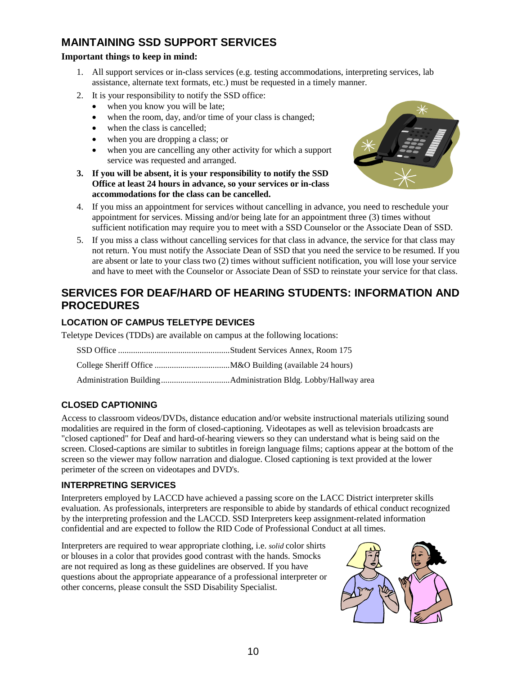## <span id="page-9-0"></span>**MAINTAINING SSD SUPPORT SERVICES**

#### **Important things to keep in mind:**

- 1. All support services or in-class services (e.g. testing accommodations, interpreting services, lab assistance, alternate text formats, etc.) must be requested in a timely manner.
- 2. It is your responsibility to notify the SSD office:
	- when you know you will be late;
	- when the room, day, and/or time of your class is changed;
	- when the class is cancelled:
	- when you are dropping a class; or
	- when you are cancelling any other activity for which a support service was requested and arranged.
- **3. If you will be absent, it is your responsibility to notify the SSD Office at least 24 hours in advance, so your services or in-class accommodations for the class can be cancelled.**



- 4. If you miss an appointment for services without cancelling in advance, you need to reschedule your appointment for services. Missing and/or being late for an appointment three (3) times without sufficient notification may require you to meet with a SSD Counselor or the Associate Dean of SSD.
- 5. If you miss a class without cancelling services for that class in advance, the service for that class may not return. You must notify the Associate Dean of SSD that you need the service to be resumed. If you are absent or late to your class two (2) times without sufficient notification, you will lose your service and have to meet with the Counselor or Associate Dean of SSD to reinstate your service for that class.

## <span id="page-9-1"></span>**SERVICES FOR DEAF/HARD OF HEARING STUDENTS: INFORMATION AND PROCEDURES**

#### <span id="page-9-2"></span>**LOCATION OF CAMPUS TELETYPE DEVICES**

Teletype Devices (TDDs) are available on campus at the following locations:

#### <span id="page-9-3"></span>**CLOSED CAPTIONING**

Access to classroom videos/DVDs, distance education and/or website instructional materials utilizing sound modalities are required in the form of closed-captioning. Videotapes as well as television broadcasts are "closed captioned" for Deaf and hard-of-hearing viewers so they can understand what is being said on the screen. Closed-captions are similar to subtitles in foreign language films; captions appear at the bottom of the screen so the viewer may follow narration and dialogue. Closed captioning is text provided at the lower perimeter of the screen on videotapes and DVD's.

#### <span id="page-9-4"></span>**INTERPRETING SERVICES**

Interpreters employed by LACCD have achieved a passing score on the LACC District interpreter skills evaluation. As professionals, interpreters are responsible to abide by standards of ethical conduct recognized by the interpreting profession and the LACCD. SSD Interpreters keep assignment-related information confidential and are expected to follow the RID Code of Professional Conduct at all times.

Interpreters are required to wear appropriate clothing, i.e. *solid* color shirts or blouses in a color that provides good contrast with the hands. Smocks are not required as long as these guidelines are observed. If you have questions about the appropriate appearance of a professional interpreter or other concerns, please consult the SSD Disability Specialist.

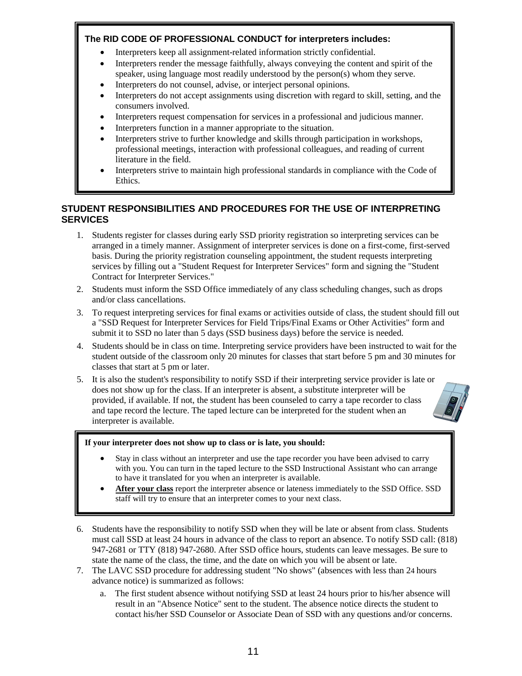#### **The RID CODE OF PROFESSIONAL CONDUCT for interpreters includes:**

- Interpreters keep all assignment-related information strictly confidential.
- Interpreters render the message faithfully, always conveying the content and spirit of the speaker, using language most readily understood by the person(s) whom they serve.
- Interpreters do not counsel, advise, or interject personal opinions.
- Interpreters do not accept assignments using discretion with regard to skill, setting, and the consumers involved.
- Interpreters request compensation for services in a professional and judicious manner.
- Interpreters function in a manner appropriate to the situation.
- Interpreters strive to further knowledge and skills through participation in workshops, professional meetings, interaction with professional colleagues, and reading of current literature in the field.
- Interpreters strive to maintain high professional standards in compliance with the Code of Ethics.

#### <span id="page-10-0"></span>**STUDENT RESPONSIBILITIES AND PROCEDURES FOR THE USE OF INTERPRETING SERVICES**

- 1. Students register for classes during early SSD priority registration so interpreting services can be arranged in a timely manner. Assignment of interpreter services is done on a first-come, first-served basis. During the priority registration counseling appointment, the student requests interpreting services by filling out a "Student Request for Interpreter Services" form and signing the "Student Contract for Interpreter Services."
- 2. Students must inform the SSD Office immediately of any class scheduling changes, such as drops and/or class cancellations.
- 3. To request interpreting services for final exams or activities outside of class, the student should fill out a "SSD Request for Interpreter Services for Field Trips/Final Exams or Other Activities" form and submit it to SSD no later than 5 days (SSD business days) before the service is needed.
- 4. Students should be in class on time. Interpreting service providers have been instructed to wait for the student outside of the classroom only 20 minutes for classes that start before 5 pm and 30 minutes for classes that start at 5 pm or later.
- 5. It is also the student's responsibility to notify SSD if their interpreting service provider is late or does not show up for the class. If an interpreter is absent, a substitute interpreter will be provided, if available. If not, the student has been counseled to carry a tape recorder to class and tape record the lecture. The taped lecture can be interpreted for the student when an interpreter is available.



- Stay in class without an interpreter and use the tape recorder you have been advised to carry with you. You can turn in the taped lecture to the SSD Instructional Assistant who can arrange to have it translated for you when an interpreter is available.
- **After your class** report the interpreter absence or lateness immediately to the SSD Office. SSD staff will try to ensure that an interpreter comes to your next class.
- 6. Students have the responsibility to notify SSD when they will be late or absent from class. Students must call SSD at least 24 hours in advance of the class to report an absence. To notify SSD call: (818) 947-2681 or TTY (818) 947-2680. After SSD office hours, students can leave messages. Be sure to state the name of the class, the time, and the date on which you will be absent or late.
- 7. The LAVC SSD procedure for addressing student "No shows" (absences with less than 24 hours advance notice) is summarized as follows:
	- a. The first student absence without notifying SSD at least 24 hours prior to his/her absence will result in an "Absence Notice" sent to the student. The absence notice directs the student to contact his/her SSD Counselor or Associate Dean of SSD with any questions and/or concerns.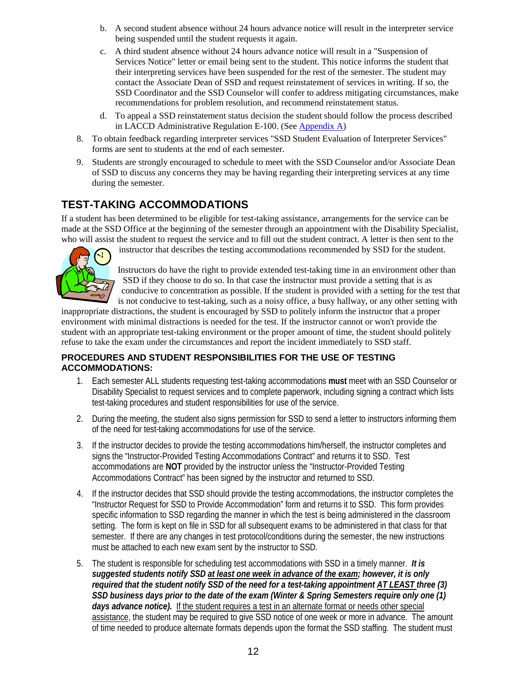- b. A second student absence without 24 hours advance notice will result in the interpreter service being suspended until the student requests it again.
- c. A third student absence without 24 hours advance notice will result in a "Suspension of Services Notice" letter or email being sent to the student. This notice informs the student that their interpreting services have been suspended for the rest of the semester. The student may contact the Associate Dean of SSD and request reinstatement of services in writing. If so, the SSD Coordinator and the SSD Counselor will confer to address mitigating circumstances, make recommendations for problem resolution, and recommend reinstatement status.
- d. To appeal a SSD reinstatement status decision the student should follow the process described in LACCD Administrative Regulation E-100. (See [Appendix A\)](#page-18-0)
- 8. To obtain feedback regarding interpreter services "SSD Student Evaluation of Interpreter Services" forms are sent to students at the end of each semester.
- 9. Students are strongly encouraged to schedule to meet with the SSD Counselor and/or Associate Dean of SSD to discuss any concerns they may be having regarding their interpreting services at any time during the semester.

## <span id="page-11-0"></span>**TEST-TAKING ACCOMMODATIONS**

If a student has been determined to be eligible for test-taking assistance, arrangements for the service can be made at the SSD Office at the beginning of the semester through an appointment with the Disability Specialist, who will assist the student to request the service and to fill out the student contract. A letter is then sent to the



instructor that describes the testing accommodations recommended by SSD for the student.

Instructors do have the right to provide extended test-taking time in an environment other than SSD if they choose to do so. In that case the instructor must provide a setting that is as conducive to concentration as possible. If the student is provided with a setting for the test that is not conducive to test-taking, such as a noisy office, a busy hallway, or any other setting with

inappropriate distractions, the student is encouraged by SSD to politely inform the instructor that a proper environment with minimal distractions is needed for the test. If the instructor cannot or won't provide the student with an appropriate test-taking environment or the proper amount of time, the student should politely refuse to take the exam under the circumstances and report the incident immediately to SSD staff.

#### <span id="page-11-1"></span>**PROCEDURES AND STUDENT RESPONSIBILITIES FOR THE USE OF TESTING ACCOMMODATIONS:**

- 1. Each semester ALL students requesting test-taking accommodations **must** meet with an SSD Counselor or Disability Specialist to request services and to complete paperwork, including signing a contract which lists test-taking procedures and student responsibilities for use of the service.
- 2. During the meeting, the student also signs permission for SSD to send a letter to instructors informing them of the need for test-taking accommodations for use of the service.
- 3. If the instructor decides to provide the testing accommodations him/herself, the instructor completes and signs the "Instructor-Provided Testing Accommodations Contract" and returns it to SSD. Test accommodations are **NOT** provided by the instructor unless the "Instructor-Provided Testing Accommodations Contract" has been signed by the instructor and returned to SSD.
- 4. If the instructor decides that SSD should provide the testing accommodations, the instructor completes the "Instructor Request for SSD to Provide Accommodation" form and returns it to SSD. This form provides specific information to SSD regarding the manner in which the test is being administered in the classroom setting. The form is kept on file in SSD for all subsequent exams to be administered in that class for that semester. If there are any changes in test protocol/conditions during the semester, the new instructions must be attached to each new exam sent by the instructor to SSD.
- 5. The student is responsible for scheduling test accommodations with SSD in a timely manner. *It is suggested students notify SSD at least one week in advance of the exam; however, it is only required that the student notify SSD of the need for a test-taking appointment AT LEAST three (3) SSD business days prior to the date of the exam (Winter & Spring Semesters require only one (1) days advance notice).* If the student requires a test in an alternate format or needs other special assistance, the student may be required to give SSD notice of one week or more in advance. The amount of time needed to produce alternate formats depends upon the format the SSD staffing. The student must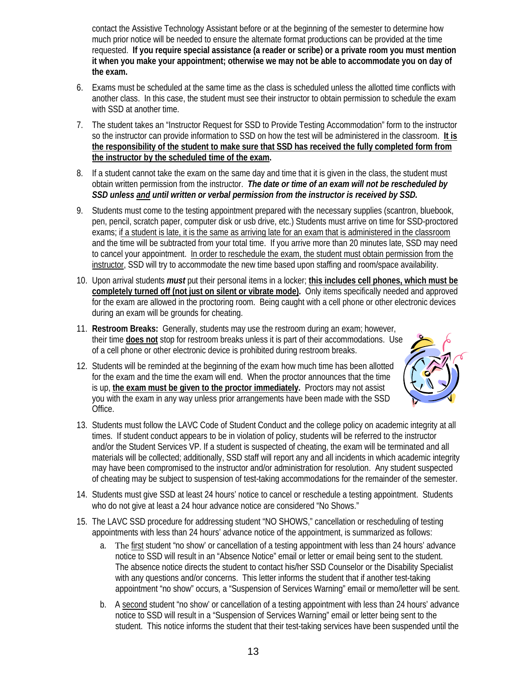contact the Assistive Technology Assistant before or at the beginning of the semester to determine how much prior notice will be needed to ensure the alternate format productions can be provided at the time requested. **If you require special assistance (a reader or scribe) or a private room you must mention it when you make your appointment; otherwise we may not be able to accommodate you on day of the exam.**

- 6. Exams must be scheduled at the same time as the class is scheduled unless the allotted time conflicts with another class. In this case, the student must see their instructor to obtain permission to schedule the exam with SSD at another time.
- 7. The student takes an "Instructor Request for SSD to Provide Testing Accommodation" form to the instructor so the instructor can provide information to SSD on how the test will be administered in the classroom. **It is the responsibility of the student to make sure that SSD has received the fully completed form from the instructor by the scheduled time of the exam.**
- 8. If a student cannot take the exam on the same day and time that it is given in the class, the student must obtain written permission from the instructor. *The date or time of an exam will not be rescheduled by SSD unless and until written or verbal permission from the instructor is received by SSD.*
- 9. Students must come to the testing appointment prepared with the necessary supplies (scantron, bluebook, pen, pencil, scratch paper, computer disk or usb drive, etc.) Students must arrive on time for SSD-proctored exams; if a student is late, it is the same as arriving late for an exam that is administered in the classroom and the time will be subtracted from your total time. If you arrive more than 20 minutes late, SSD may need to cancel your appointment. In order to reschedule the exam, the student must obtain permission from the instructor, SSD will try to accommodate the new time based upon staffing and room/space availability.
- 10. Upon arrival students *must* put their personal items in a locker; **this includes cell phones, which must be completely turned off (not just on silent or vibrate mode).** Only items specifically needed and approved for the exam are allowed in the proctoring room. Being caught with a cell phone or other electronic devices during an exam will be grounds for cheating.
- 11. **Restroom Breaks:** Generally, students may use the restroom during an exam; however, their time **does not** stop for restroom breaks unless it is part of their accommodations. Use of a cell phone or other electronic device is prohibited during restroom breaks.
- 12. Students will be reminded at the beginning of the exam how much time has been allotted for the exam and the time the exam will end. When the proctor announces that the time is up, **the exam must be given to the proctor immediately.** Proctors may not assist you with the exam in any way unless prior arrangements have been made with the SSD Office.



- 13. Students must follow the LAVC Code of Student Conduct and the college policy on academic integrity at all times. If student conduct appears to be in violation of policy, students will be referred to the instructor and/or the Student Services VP. If a student is suspected of cheating, the exam will be terminated and all materials will be collected; additionally, SSD staff will report any and all incidents in which academic integrity may have been compromised to the instructor and/or administration for resolution. Any student suspected of cheating may be subject to suspension of test-taking accommodations for the remainder of the semester.
- 14. Students must give SSD at least 24 hours' notice to cancel or reschedule a testing appointment. Students who do not give at least a 24 hour advance notice are considered "No Shows."
- 15. The LAVC SSD procedure for addressing student "NO SHOWS," cancellation or rescheduling of testing appointments with less than 24 hours' advance notice of the appointment, is summarized as follows:
	- a. The first student "no show' or cancellation of a testing appointment with less than 24 hours' advance notice to SSD will result in an "Absence Notice" email or letter or email being sent to the student. The absence notice directs the student to contact his/her SSD Counselor or the Disability Specialist with any questions and/or concerns. This letter informs the student that if another test-taking appointment "no show" occurs, a "Suspension of Services Warning" email or memo/letter will be sent.
	- b. A second student "no show' or cancellation of a testing appointment with less than 24 hours' advance notice to SSD will result in a "Suspension of Services Warning" email or letter being sent to the student. This notice informs the student that their test-taking services have been suspended until the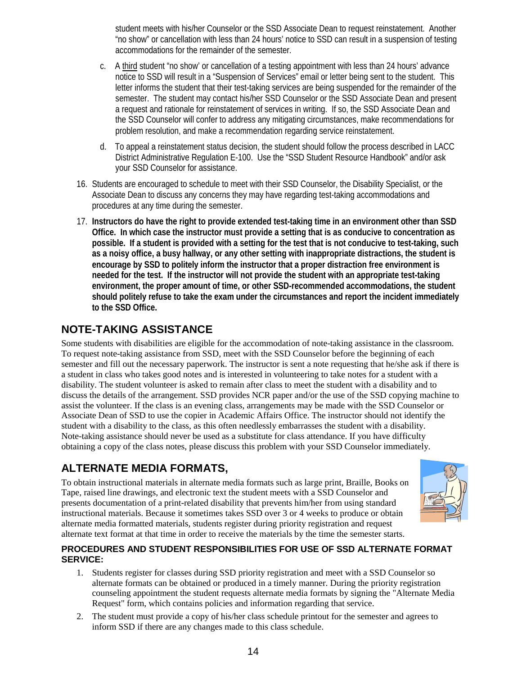student meets with his/her Counselor or the SSD Associate Dean to request reinstatement. Another "no show" or cancellation with less than 24 hours' notice to SSD can result in a suspension of testing accommodations for the remainder of the semester.

- c. A third student "no show' or cancellation of a testing appointment with less than 24 hours' advance notice to SSD will result in a "Suspension of Services" email or letter being sent to the student. This letter informs the student that their test-taking services are being suspended for the remainder of the semester. The student may contact his/her SSD Counselor or the SSD Associate Dean and present a request and rationale for reinstatement of services in writing. If so, the SSD Associate Dean and the SSD Counselor will confer to address any mitigating circumstances, make recommendations for problem resolution, and make a recommendation regarding service reinstatement.
- d. To appeal a reinstatement status decision, the student should follow the process described in LACC District Administrative Regulation E-100. Use the "SSD Student Resource Handbook" and/or ask your SSD Counselor for assistance.
- 16. Students are encouraged to schedule to meet with their SSD Counselor, the Disability Specialist, or the Associate Dean to discuss any concerns they may have regarding test-taking accommodations and procedures at any time during the semester.
- 17. **Instructors do have the right to provide extended test-taking time in an environment other than SSD Office. In which case the instructor must provide a setting that is as conducive to concentration as possible. If a student is provided with a setting for the test that is not conducive to test-taking, such as a noisy office, a busy hallway, or any other setting with inappropriate distractions, the student is encourage by SSD to politely inform the instructor that a proper distraction free environment is needed for the test. If the instructor will not provide the student with an appropriate test-taking environment, the proper amount of time, or other SSD-recommended accommodations, the student should politely refuse to take the exam under the circumstances and report the incident immediately to the SSD Office.**

## <span id="page-13-0"></span>**NOTE-TAKING ASSISTANCE**

Some students with disabilities are eligible for the accommodation of note-taking assistance in the classroom. To request note-taking assistance from SSD, meet with the SSD Counselor before the beginning of each semester and fill out the necessary paperwork. The instructor is sent a note requesting that he/she ask if there is a student in class who takes good notes and is interested in volunteering to take notes for a student with a disability. The student volunteer is asked to remain after class to meet the student with a disability and to discuss the details of the arrangement. SSD provides NCR paper and/or the use of the SSD copying machine to assist the volunteer. If the class is an evening class, arrangements may be made with the SSD Counselor or Associate Dean of SSD to use the copier in Academic Affairs Office. The instructor should not identify the student with a disability to the class, as this often needlessly embarrasses the student with a disability. Note-taking assistance should never be used as a substitute for class attendance. If you have difficulty obtaining a copy of the class notes, please discuss this problem with your SSD Counselor immediately.

## <span id="page-13-1"></span>**ALTERNATE MEDIA FORMATS,**

To obtain instructional materials in alternate media formats such as large print, Braille, Books on Tape, raised line drawings, and electronic text the student meets with a SSD Counselor and presents documentation of a print-related disability that prevents him/her from using standard instructional materials. Because it sometimes takes SSD over 3 or 4 weeks to produce or obtain alternate media formatted materials, students register during priority registration and request alternate text format at that time in order to receive the materials by the time the semester starts.



#### <span id="page-13-2"></span>**PROCEDURES AND STUDENT RESPONSIBILITIES FOR USE OF SSD ALTERNATE FORMAT SERVICE:**

- 1. Students register for classes during SSD priority registration and meet with a SSD Counselor so alternate formats can be obtained or produced in a timely manner. During the priority registration counseling appointment the student requests alternate media formats by signing the "Alternate Media Request" form, which contains policies and information regarding that service.
- 2. The student must provide a copy of his/her class schedule printout for the semester and agrees to inform SSD if there are any changes made to this class schedule.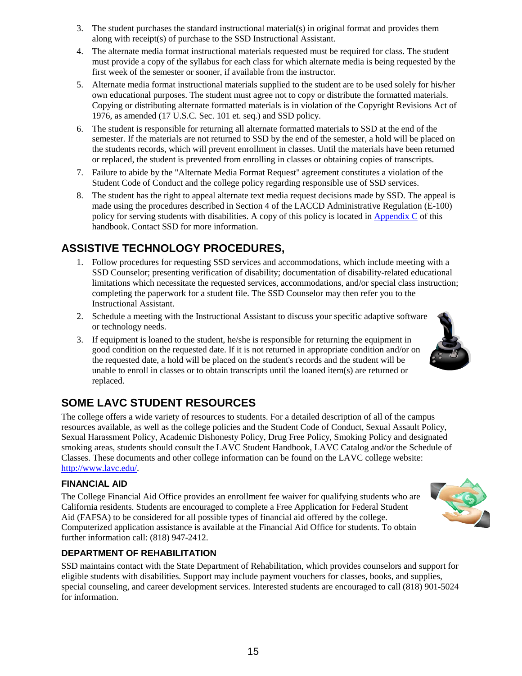- 3. The student purchases the standard instructional material(s) in original format and provides them along with receipt(s) of purchase to the SSD Instructional Assistant.
- 4. The alternate media format instructional materials requested must be required for class. The student must provide a copy of the syllabus for each class for which alternate media is being requested by the first week of the semester or sooner, if available from the instructor.
- 5. Alternate media format instructional materials supplied to the student are to be used solely for his/her own educational purposes. The student must agree not to copy or distribute the formatted materials. Copying or distributing alternate formatted materials is in violation of the Copyright Revisions Act of 1976, as amended (17 U.S.C. Sec. 101 et. seq.) and SSD policy.
- 6. The student is responsible for returning all alternate formatted materials to SSD at the end of the semester. If the materials are not returned to SSD by the end of the semester, a hold will be placed on the student's records, which will prevent enrollment in classes. Until the materials have been returned or replaced, the student is prevented from enrolling in classes or obtaining copies of transcripts.
- 7. Failure to abide by the "Alternate Media Format Request" agreement constitutes a violation of the Student Code of Conduct and the college policy regarding responsible use of SSD services.
- 8. The student has the right to appeal alternate text media request decisions made by SSD. The appeal is made using the procedures described in Section 4 of the LACCD Administrative Regulation (E-100) policy for serving students with disabilities. A copy of this policy is located in [Appendix C](#page-19-0) of this handbook. Contact SSD for more information.

## <span id="page-14-0"></span>**ASSISTIVE TECHNOLOGY PROCEDURES,**

- 1. Follow procedures for requesting SSD services and accommodations, which include meeting with a SSD Counselor; presenting verification of disability; documentation of disability-related educational limitations which necessitate the requested services, accommodations, and/or special class instruction; completing the paperwork for a student file. The SSD Counselor may then refer you to the Instructional Assistant.
- 2. Schedule a meeting with the Instructional Assistant to discuss your specific adaptive software or technology needs.
- 3. If equipment is loaned to the student, he/she is responsible for returning the equipment in good condition on the requested date. If it is not returned in appropriate condition and/or on the requested date, a hold will be placed on the student's records and the student will be unable to enroll in classes or to obtain transcripts until the loaned item(s) are returned or replaced.

## <span id="page-14-1"></span>**SOME LAVC STUDENT RESOURCES**

The college offers a wide variety of resources to students. For a detailed description of all of the campus resources available, as well as the college policies and the Student Code of Conduct, Sexual Assault Policy, Sexual Harassment Policy, Academic Dishonesty Policy, Drug Free Policy, Smoking Policy and designated smoking areas, students should consult the LAVC Student Handbook, LAVC Catalog and/or the Schedule of Classes. These documents and other college information can be found on the LAVC college website: [http://www.lavc.edu/.](http://www.lavc.edu/)

#### <span id="page-14-2"></span>**FINANCIAL AID**

The College Financial Aid Office provides an enrollment fee waiver for qualifying students who are California residents. Students are encouraged to complete a Free Application for Federal Student Aid (FAFSA) to be considered for all possible types of financial aid offered by the college. Computerized application assistance is available at the Financial Aid Office for students. To obtain further information call: (818) 947-2412.

#### <span id="page-14-3"></span>**DEPARTMENT OF REHABILITATION**

SSD maintains contact with the State Department of Rehabilitation, which provides counselors and support for eligible students with disabilities. Support may include payment vouchers for classes, books, and supplies, special counseling, and career development services. Interested students are encouraged to call (818) 901-5024 for information.

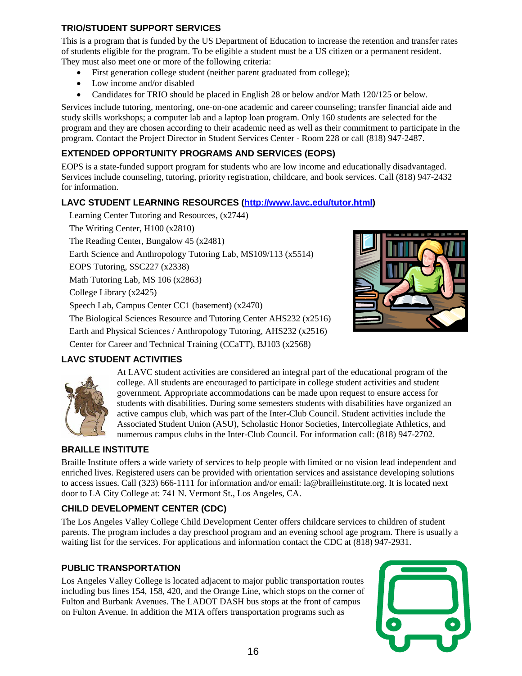#### <span id="page-15-0"></span>**TRIO/STUDENT SUPPORT SERVICES**

This is a program that is funded by the US Department of Education to increase the retention and transfer rates of students eligible for the program. To be eligible a student must be a US citizen or a permanent resident. They must also meet one or more of the following criteria:

- First generation college student (neither parent graduated from college);
- Low income and/or disabled
- Candidates for TRIO should be placed in English 28 or below and/or Math 120/125 or below.

Services include tutoring, mentoring, one-on-one academic and career counseling; transfer financial aide and study skills workshops; a computer lab and a laptop loan program. Only 160 students are selected for the program and they are chosen according to their academic need as well as their commitment to participate in the program. Contact the Project Director in Student Services Center - Room 228 or call (818) 947-2487.

#### <span id="page-15-1"></span>**EXTENDED OPPORTUNITY PROGRAMS AND SERVICES (EOPS)**

EOPS is a state-funded support program for students who are low income and educationally disadvantaged. Services include counseling, tutoring, priority registration, childcare, and book services. Call (818) 947-2432 for information.

#### <span id="page-15-2"></span>**LAVC STUDENT LEARNING RESOURCES [\(http://www.lavc.edu/tutor.html\)](http://www.lavc.edu/tutor.html)**

Learning Center Tutoring and Resources, (x2744) The Writing Center, H100 (x2810) The Reading Center, Bungalow 45 (x2481) Earth Science and Anthropology Tutoring Lab, MS109/113 (x5514) EOPS Tutoring, SSC227 (x2338) Math Tutoring Lab, MS 106 (x2863) College Library (x2425) Speech Lab, Campus Center CC1 (basement) (x2470) The Biological Sciences Resource and Tutoring Center AHS232 (x2516) Earth and Physical Sciences / Anthropology Tutoring, AHS232 (x2516) Center for Career and Technical Training (CCaTT), BJ103 (x2568)



#### <span id="page-15-3"></span>**LAVC STUDENT ACTIVITIES**



At LAVC student activities are considered an integral part of the educational program of the college. All students are encouraged to participate in college student activities and student government. Appropriate accommodations can be made upon request to ensure access for students with disabilities. During some semesters students with disabilities have organized an active campus club, which was part of the Inter-Club Council. Student activities include the Associated Student Union (ASU), Scholastic Honor Societies, Intercollegiate Athletics, and numerous campus clubs in the Inter-Club Council. For information call: (818) 947-2702.

#### <span id="page-15-4"></span>**BRAILLE INSTITUTE**

Braille Institute offers a wide variety of services to help people with limited or no vision lead independent and enriched lives. Registered users can be provided with orientation services and assistance developing solutions to access issues. Call (323) 666-1111 for information and/or email: la@brailleinstitute.org. It is located next door to LA City College at: 741 N. Vermont St., Los Angeles, CA.

#### <span id="page-15-5"></span>**CHILD DEVELOPMENT CENTER (CDC)**

The Los Angeles Valley College Child Development Center offers childcare services to children of student parents. The program includes a day preschool program and an evening school age program. There is usually a waiting list for the services. For applications and information contact the CDC at (818) 947-2931.

#### <span id="page-15-6"></span>**PUBLIC TRANSPORTATION**

Los Angeles Valley College is located adjacent to major public transportation routes including bus lines 154, 158, 420, and the Orange Line, which stops on the corner of Fulton and Burbank Avenues. The LADOT DASH bus stops at the front of campus on Fulton Avenue. In addition the MTA offers transportation programs such as

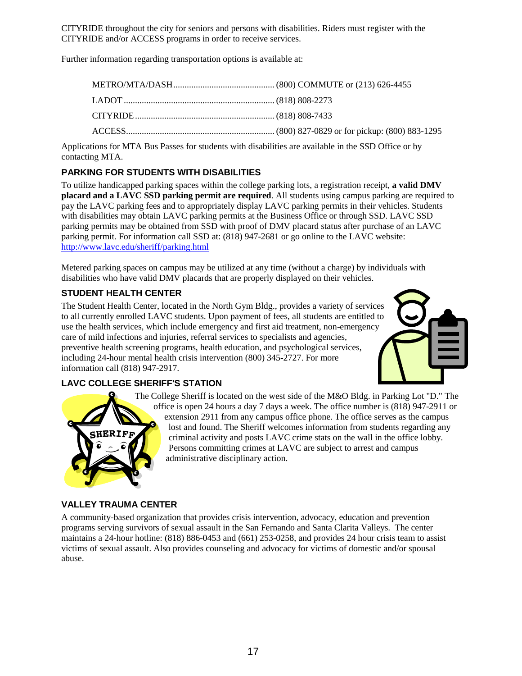CITYRIDE throughout the city for seniors and persons with disabilities. Riders must register with the CITYRIDE and/or ACCESS programs in order to receive services.

Further information regarding transportation options is available at:

Applications for MTA Bus Passes for students with disabilities are available in the SSD Office or by contacting MTA.

#### <span id="page-16-0"></span>**PARKING FOR STUDENTS WITH DISABILITIES**

To utilize handicapped parking spaces within the college parking lots, a registration receipt, **a valid DMV placard and a LAVC SSD parking permit are required**. All students using campus parking are required to pay the LAVC parking fees and to appropriately display LAVC parking permits in their vehicles. Students with disabilities may obtain LAVC parking permits at the Business Office or through SSD. LAVC SSD parking permits may be obtained from SSD with proof of DMV placard status after purchase of an LAVC parking permit. For information call SSD at: (818) 947-2681 or go online to the LAVC website: <http://www.lavc.edu/sheriff/parking.html>

Metered parking spaces on campus may be utilized at any time (without a charge) by individuals with disabilities who have valid DMV placards that are properly displayed on their vehicles.

#### <span id="page-16-1"></span>**STUDENT HEALTH CENTER**

The Student Health Center, located in the North Gym Bldg., provides a variety of services to all currently enrolled LAVC students. Upon payment of fees, all students are entitled to use the health services, which include emergency and first aid treatment, non-emergency care of mild infections and injuries, referral services to specialists and agencies, preventive health screening programs, health education, and psychological services, including 24-hour mental health crisis intervention (800) 345-2727. For more information call (818) 947-2917.



#### <span id="page-16-2"></span>**LAVC COLLEGE SHERIFF'S STATION**



The College Sheriff is located on the west side of the M&O Bldg. in Parking Lot "D." The office is open 24 hours a day 7 days a week. The office number is (818) 947-2911 or extension 2911 from any campus office phone. The office serves as the campus lost and found. The Sheriff welcomes information from students regarding any criminal activity and posts LAVC crime stats on the wall in the office lobby. Persons committing crimes at LAVC are subject to arrest and campus administrative disciplinary action.

#### <span id="page-16-3"></span>**VALLEY TRAUMA CENTER**

A community-based organization that provides crisis intervention, advocacy, education and prevention programs serving survivors of sexual assault in the San Fernando and Santa Clarita Valleys. The center maintains a 24-hour hotline: (818) 886-0453 and (661) 253-0258, and provides 24 hour crisis team to assist victims of sexual assault. Also provides counseling and advocacy for victims of domestic and/or spousal abuse.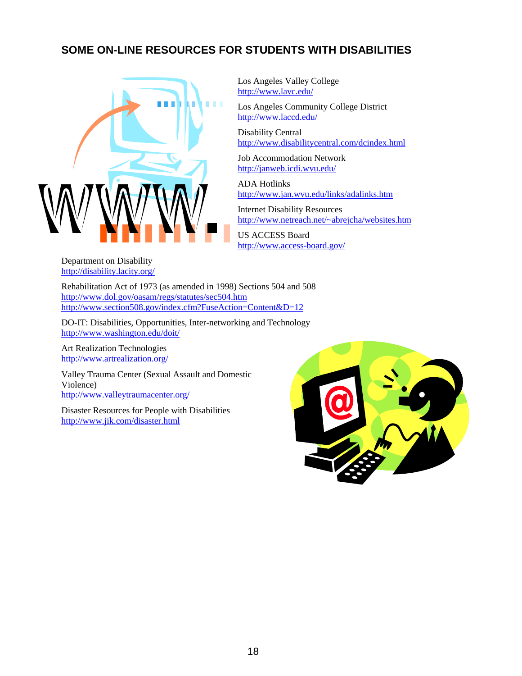## <span id="page-17-0"></span>**SOME ON-LINE RESOURCES FOR STUDENTS WITH DISABILITIES**



Los Angeles Valley College <http://www.lavc.edu/>

Los Angeles Community College District <http://www.laccd.edu/>

Disability Central <http://www.disabilitycentral.com/dcindex.html>

Job Accommodation Network <http://janweb.icdi.wvu.edu/>

ADA Hotlinks <http://www.jan.wvu.edu/links/adalinks.htm>

Internet Disability Resources [http://www.netreach.net/~abrejcha/websites.htm](http://www.netreach.net/%7Eabrejcha/websites.htm)

US ACCESS Board <http://www.access-board.gov/>

Department on Disability <http://disability.lacity.org/>

Rehabilitation Act of 1973 (as amended in 1998) Sections 504 and 508 <http://www.dol.gov/oasam/regs/statutes/sec504.htm> <http://www.section508.gov/index.cfm?FuseAction=Content&D=12>

DO-IT: Disabilities, Opportunities, Inter-networking and Technology <http://www.washington.edu/doit/>

Art Realization Technologies <http://www.artrealization.org/>

Valley Trauma Center (Sexual Assault and Domestic Violence) <http://www.valleytraumacenter.org/>

Disaster Resources for People with Disabilities <http://www.jik.com/disaster.html>

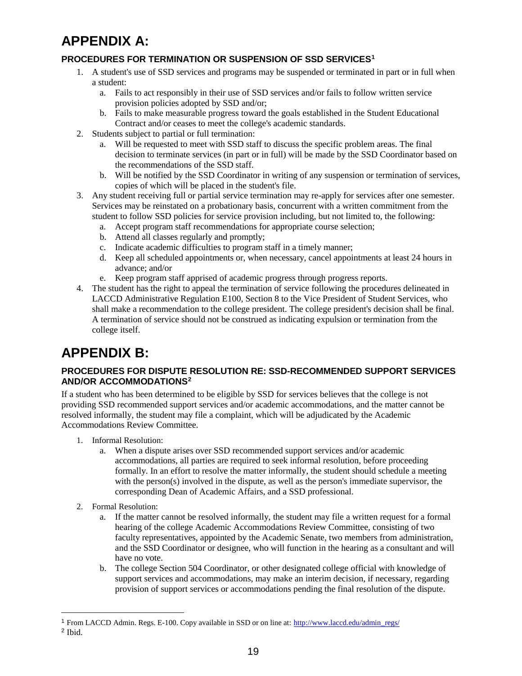# <span id="page-18-0"></span>**APPENDIX A:**

### <span id="page-18-1"></span>**PROCEDURES FOR TERMINATION OR SUSPENSION OF SSD SERVICES[1](#page-18-4)**

- 1. A student's use of SSD services and programs may be suspended or terminated in part or in full when a student:
	- a. Fails to act responsibly in their use of SSD services and/or fails to follow written service provision policies adopted by SSD and/or;
	- b. Fails to make measurable progress toward the goals established in the Student Educational Contract and/or ceases to meet the college's academic standards.
- 2. Students subject to partial or full termination:
	- a. Will be requested to meet with SSD staff to discuss the specific problem areas. The final decision to terminate services (in part or in full) will be made by the SSD Coordinator based on the recommendations of the SSD staff.
	- b. Will be notified by the SSD Coordinator in writing of any suspension or termination of services, copies of which will be placed in the student's file.
- 3. Any student receiving full or partial service termination may re-apply for services after one semester. Services may be reinstated on a probationary basis, concurrent with a written commitment from the student to follow SSD policies for service provision including, but not limited to, the following:
	- a. Accept program staff recommendations for appropriate course selection;
	- b. Attend all classes regularly and promptly;
	- c. Indicate academic difficulties to program staff in a timely manner;
	- d. Keep all scheduled appointments or, when necessary, cancel appointments at least 24 hours in advance; and/or
	- e. Keep program staff apprised of academic progress through progress reports.
- 4. The student has the right to appeal the termination of service following the procedures delineated in LACCD Administrative Regulation E100, Section 8 to the Vice President of Student Services, who shall make a recommendation to the college president. The college president's decision shall be final. A termination of service should not be construed as indicating expulsion or termination from the college itself.

# <span id="page-18-2"></span>**APPENDIX B:**

#### <span id="page-18-3"></span>**PROCEDURES FOR DISPUTE RESOLUTION RE: SSD-RECOMMENDED SUPPORT SERVICES AND/OR ACCOMMODATIONS[2](#page-18-5)**

If a student who has been determined to be eligible by SSD for services believes that the college is not providing SSD recommended support services and/or academic accommodations, and the matter cannot be resolved informally, the student may file a complaint, which will be adjudicated by the Academic Accommodations Review Committee.

- 1. Informal Resolution:
	- a. When a dispute arises over SSD recommended support services and/or academic accommodations, all parties are required to seek informal resolution, before proceeding formally. In an effort to resolve the matter informally, the student should schedule a meeting with the person(s) involved in the dispute, as well as the person's immediate supervisor, the corresponding Dean of Academic Affairs, and a SSD professional.
- 2. Formal Resolution:
	- a. If the matter cannot be resolved informally, the student may file a written request for a formal hearing of the college Academic Accommodations Review Committee, consisting of two faculty representatives, appointed by the Academic Senate, two members from administration, and the SSD Coordinator or designee, who will function in the hearing as a consultant and will have no vote.
	- b. The college Section 504 Coordinator, or other designated college official with knowledge of support services and accommodations, may make an interim decision, if necessary, regarding provision of support services or accommodations pending the final resolution of the dispute.

<span id="page-18-4"></span><sup>&</sup>lt;sup>1</sup> From LACCD Admin. Regs. E-100. Copy available in SSD or on line at: [http://www.laccd.edu/admin\\_regs/](http://www.laccd.edu/admin_regs/)

<span id="page-18-5"></span><sup>2</sup> Ibid.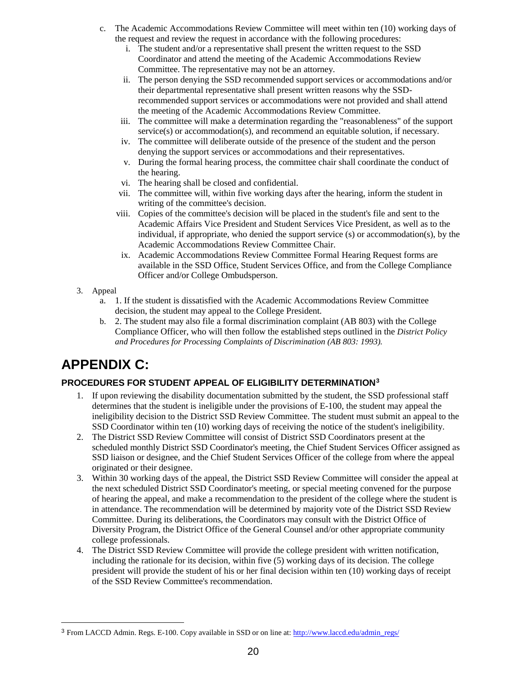- c. The Academic Accommodations Review Committee will meet within ten (10) working days of the request and review the request in accordance with the following procedures:
	- i. The student and/or a representative shall present the written request to the SSD Coordinator and attend the meeting of the Academic Accommodations Review Committee. The representative may not be an attorney.
	- ii. The person denying the SSD recommended support services or accommodations and/or their departmental representative shall present written reasons why the SSDrecommended support services or accommodations were not provided and shall attend the meeting of the Academic Accommodations Review Committee.
	- iii. The committee will make a determination regarding the "reasonableness" of the support service(s) or accommodation(s), and recommend an equitable solution, if necessary.
	- iv. The committee will deliberate outside of the presence of the student and the person denying the support services or accommodations and their representatives.
	- v. During the formal hearing process, the committee chair shall coordinate the conduct of the hearing.
	- vi. The hearing shall be closed and confidential.
	- vii. The committee will, within five working days after the hearing, inform the student in writing of the committee's decision.
	- viii. Copies of the committee's decision will be placed in the student's file and sent to the Academic Affairs Vice President and Student Services Vice President, as well as to the individual, if appropriate, who denied the support service (s) or accommodation(s), by the Academic Accommodations Review Committee Chair.
	- ix. Academic Accommodations Review Committee Formal Hearing Request forms are available in the SSD Office, Student Services Office, and from the College Compliance Officer and/or College Ombudsperson.
- 3. Appeal
	- a. 1. If the student is dissatisfied with the Academic Accommodations Review Committee decision, the student may appeal to the College President.
	- b. 2. The student may also file a formal discrimination complaint (AB 803) with the College Compliance Officer, who will then follow the established steps outlined in the *District Policy and Procedures for Processing Complaints of Discrimination (AB 803: 1993).*

# <span id="page-19-0"></span>**APPENDIX C:**

#### <span id="page-19-1"></span>**PROCEDURES FOR STUDENT APPEAL OF ELIGIBILITY DETERMINATION[3](#page-19-2)**

- 1. If upon reviewing the disability documentation submitted by the student, the SSD professional staff determines that the student is ineligible under the provisions of E-100, the student may appeal the ineligibility decision to the District SSD Review Committee. The student must submit an appeal to the SSD Coordinator within ten (10) working days of receiving the notice of the student's ineligibility.
- 2. The District SSD Review Committee will consist of District SSD Coordinators present at the scheduled monthly District SSD Coordinator's meeting, the Chief Student Services Officer assigned as SSD liaison or designee, and the Chief Student Services Officer of the college from where the appeal originated or their designee.
- 3. Within 30 working days of the appeal, the District SSD Review Committee will consider the appeal at the next scheduled District SSD Coordinator's meeting, or special meeting convened for the purpose of hearing the appeal, and make a recommendation to the president of the college where the student is in attendance. The recommendation will be determined by majority vote of the District SSD Review Committee. During its deliberations, the Coordinators may consult with the District Office of Diversity Program, the District Office of the General Counsel and/or other appropriate community college professionals.
- 4. The District SSD Review Committee will provide the college president with written notification, including the rationale for its decision, within five (5) working days of its decision. The college president will provide the student of his or her final decision within ten (10) working days of receipt of the SSD Review Committee's recommendation.

<span id="page-19-2"></span><sup>3</sup> From LACCD Admin. Regs. E-100. Copy available in SSD or on line at: [http://www.laccd.edu/admin\\_regs/](http://www.laccd.edu/admin_regs/)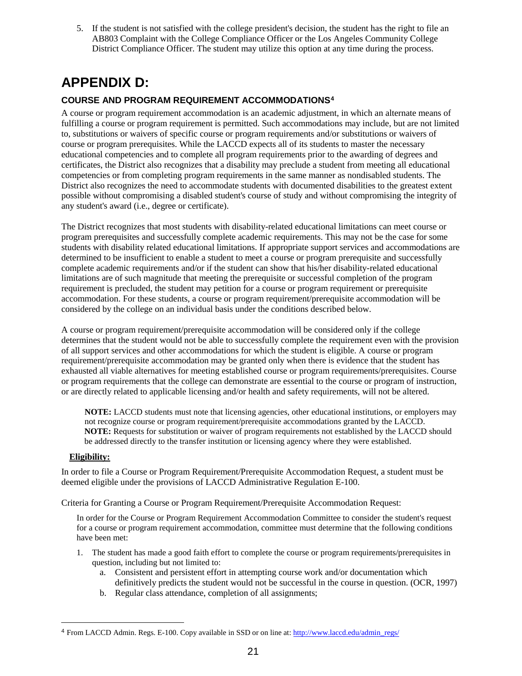5. If the student is not satisfied with the college president's decision, the student has the right to file an AB803 Complaint with the College Compliance Officer or the Los Angeles Community College District Compliance Officer. The student may utilize this option at any time during the process.

# <span id="page-20-0"></span>**APPENDIX D:**

#### <span id="page-20-1"></span>**COURSE AND PROGRAM REQUIREMENT ACCOMMODATIONS[4](#page-20-2)**

A course or program requirement accommodation is an academic adjustment, in which an alternate means of fulfilling a course or program requirement is permitted. Such accommodations may include, but are not limited to, substitutions or waivers of specific course or program requirements and/or substitutions or waivers of course or program prerequisites. While the LACCD expects all of its students to master the necessary educational competencies and to complete all program requirements prior to the awarding of degrees and certificates, the District also recognizes that a disability may preclude a student from meeting all educational competencies or from completing program requirements in the same manner as nondisabled students. The District also recognizes the need to accommodate students with documented disabilities to the greatest extent possible without compromising a disabled student's course of study and without compromising the integrity of any student's award (i.e., degree or certificate).

The District recognizes that most students with disability-related educational limitations can meet course or program prerequisites and successfully complete academic requirements. This may not be the case for some students with disability related educational limitations. If appropriate support services and accommodations are determined to be insufficient to enable a student to meet a course or program prerequisite and successfully complete academic requirements and/or if the student can show that his/her disability-related educational limitations are of such magnitude that meeting the prerequisite or successful completion of the program requirement is precluded, the student may petition for a course or program requirement or prerequisite accommodation. For these students, a course or program requirement/prerequisite accommodation will be considered by the college on an individual basis under the conditions described below.

A course or program requirement/prerequisite accommodation will be considered only if the college determines that the student would not be able to successfully complete the requirement even with the provision of all support services and other accommodations for which the student is eligible. A course or program requirement/prerequisite accommodation may be granted only when there is evidence that the student has exhausted all viable alternatives for meeting established course or program requirements/prerequisites. Course or program requirements that the college can demonstrate are essential to the course or program of instruction, or are directly related to applicable licensing and/or health and safety requirements, will not be altered.

**NOTE:** LACCD students must note that licensing agencies, other educational institutions, or employers may not recognize course or program requirement/prerequisite accommodations granted by the LACCD. **NOTE:** Requests for substitution or waiver of program requirements not established by the LACCD should be addressed directly to the transfer institution or licensing agency where they were established.

#### **Eligibility:**

In order to file a Course or Program Requirement/Prerequisite Accommodation Request, a student must be deemed eligible under the provisions of LACCD Administrative Regulation E-100.

Criteria for Granting a Course or Program Requirement/Prerequisite Accommodation Request:

In order for the Course or Program Requirement Accommodation Committee to consider the student's request for a course or program requirement accommodation, committee must determine that the following conditions have been met:

- 1. The student has made a good faith effort to complete the course or program requirements/prerequisites in question, including but not limited to:
	- a. Consistent and persistent effort in attempting course work and/or documentation which definitively predicts the student would not be successful in the course in question. (OCR, 1997)
	- b. Regular class attendance, completion of all assignments;

<span id="page-20-2"></span><sup>4</sup> From LACCD Admin. Regs. E-100. Copy available in SSD or on line at: [http://www.laccd.edu/admin\\_regs/](http://www.laccd.edu/admin_regs/)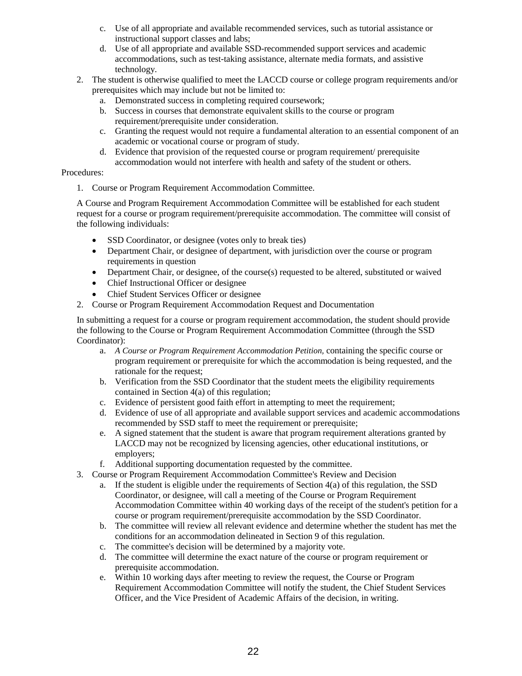- c. Use of all appropriate and available recommended services, such as tutorial assistance or instructional support classes and labs;
- d. Use of all appropriate and available SSD-recommended support services and academic accommodations, such as test-taking assistance, alternate media formats, and assistive technology.
- 2. The student is otherwise qualified to meet the LACCD course or college program requirements and/or prerequisites which may include but not be limited to:
	- a. Demonstrated success in completing required coursework;
	- b. Success in courses that demonstrate equivalent skills to the course or program requirement/prerequisite under consideration.
	- c. Granting the request would not require a fundamental alteration to an essential component of an academic or vocational course or program of study.
	- d. Evidence that provision of the requested course or program requirement/ prerequisite accommodation would not interfere with health and safety of the student or others.

#### Procedures:

1. Course or Program Requirement Accommodation Committee.

A Course and Program Requirement Accommodation Committee will be established for each student request for a course or program requirement/prerequisite accommodation. The committee will consist of the following individuals:

- SSD Coordinator, or designee (votes only to break ties)
- Department Chair, or designee of department, with jurisdiction over the course or program requirements in question
- Department Chair, or designee, of the course(s) requested to be altered, substituted or waived
- Chief Instructional Officer or designee
- Chief Student Services Officer or designee
- 2. Course or Program Requirement Accommodation Request and Documentation

In submitting a request for a course or program requirement accommodation, the student should provide the following to the Course or Program Requirement Accommodation Committee (through the SSD Coordinator):

- a. *A Course or Program Requirement Accommodation Petition,* containing the specific course or program requirement or prerequisite for which the accommodation is being requested, and the rationale for the request;
- b. Verification from the SSD Coordinator that the student meets the eligibility requirements contained in Section 4(a) of this regulation;
- c. Evidence of persistent good faith effort in attempting to meet the requirement;
- d. Evidence of use of all appropriate and available support services and academic accommodations recommended by SSD staff to meet the requirement or prerequisite;
- e. A signed statement that the student is aware that program requirement alterations granted by LACCD may not be recognized by licensing agencies, other educational institutions, or employers;
- f. Additional supporting documentation requested by the committee.
- 3. Course or Program Requirement Accommodation Committee's Review and Decision
	- a. If the student is eligible under the requirements of Section 4(a) of this regulation, the SSD Coordinator, or designee, will call a meeting of the Course or Program Requirement Accommodation Committee within 40 working days of the receipt of the student's petition for a course or program requirement/prerequisite accommodation by the SSD Coordinator.
	- b. The committee will review all relevant evidence and determine whether the student has met the conditions for an accommodation delineated in Section 9 of this regulation.
	- c. The committee's decision will be determined by a majority vote.
	- d. The committee will determine the exact nature of the course or program requirement or prerequisite accommodation.
	- e. Within 10 working days after meeting to review the request, the Course or Program Requirement Accommodation Committee will notify the student, the Chief Student Services Officer, and the Vice President of Academic Affairs of the decision, in writing.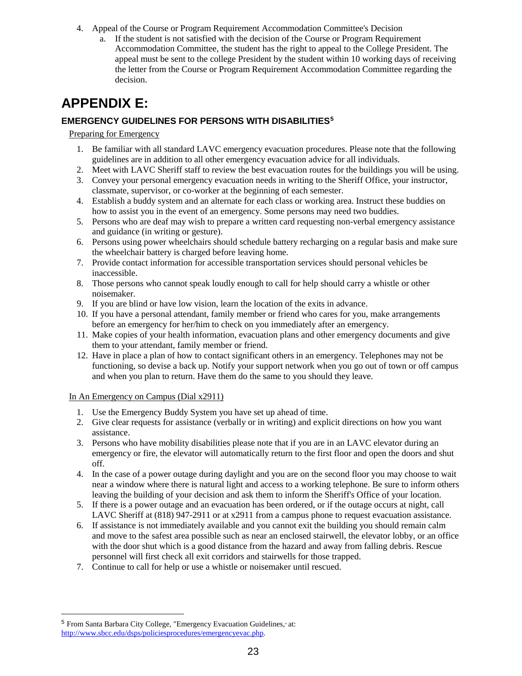- 4. Appeal of the Course or Program Requirement Accommodation Committee's Decision
	- a. If the student is not satisfied with the decision of the Course or Program Requirement Accommodation Committee, the student has the right to appeal to the College President. The appeal must be sent to the college President by the student within 10 working days of receiving the letter from the Course or Program Requirement Accommodation Committee regarding the decision.

# <span id="page-22-0"></span>**APPENDIX E:**

#### <span id="page-22-1"></span>**EMERGENCY GUIDELINES FOR PERSONS WITH DISABILITIES[5](#page-22-3)**

#### Preparing for Emergency

- 1. Be familiar with all standard LAVC emergency evacuation procedures. Please note that the following guidelines are in addition to all other emergency evacuation advice for all individuals.
- 2. Meet with LAVC Sheriff staff to review the best evacuation routes for the buildings you will be using.
- 3. Convey your personal emergency evacuation needs in writing to the Sheriff Office, your instructor, classmate, supervisor, or co-worker at the beginning of each semester.
- 4. Establish a buddy system and an alternate for each class or working area. Instruct these buddies on how to assist you in the event of an emergency. Some persons may need two buddies.
- 5. Persons who are deaf may wish to prepare a written card requesting non-verbal emergency assistance and guidance (in writing or gesture).
- 6. Persons using power wheelchairs should schedule battery recharging on a regular basis and make sure the wheelchair battery is charged before leaving home.
- 7. Provide contact information for accessible transportation services should personal vehicles be inaccessible.
- 8. Those persons who cannot speak loudly enough to call for help should carry a whistle or other noisemaker.
- 9. If you are blind or have low vision, learn the location of the exits in advance.
- 10. If you have a personal attendant, family member or friend who cares for you, make arrangements before an emergency for her/him to check on you immediately after an emergency.
- 11. Make copies of your health information, evacuation plans and other emergency documents and give them to your attendant, family member or friend.
- 12. Have in place a plan of how to contact significant others in an emergency. Telephones may not be functioning, so devise a back up. Notify your support network when you go out of town or off campus and when you plan to return. Have them do the same to you should they leave.

#### In An Emergency on Campus (Dial x2911)

- 1. Use the Emergency Buddy System you have set up ahead of time.
- 2. Give clear requests for assistance (verbally or in writing) and explicit directions on how you want assistance.
- 3. Persons who have mobility disabilities please note that if you are in an LAVC elevator during an emergency or fire, the elevator will automatically return to the first floor and open the doors and shut off.
- 4. In the case of a power outage during daylight and you are on the second floor you may choose to wait near a window where there is natural light and access to a working telephone. Be sure to inform others leaving the building of your decision and ask them to inform the Sheriff's Office of your location.
- 5. If there is a power outage and an evacuation has been ordered, or if the outage occurs at night, call LAVC Sheriff at (818) 947-2911 or at x2911 from a campus phone to request evacuation assistance.
- 6. If assistance is not immediately available and you cannot exit the building you should remain calm and move to the safest area possible such as near an enclosed stairwell, the elevator lobby, or an office with the door shut which is a good distance from the hazard and away from falling debris. Rescue personnel will first check all exit corridors and stairwells for those trapped.
- 7. Continue to call for help or use a whistle or noisemaker until rescued.

<span id="page-22-3"></span><span id="page-22-2"></span><sup>5</sup> From Santa Barbara City College, "Emergency Evacuation Guidelines," at: [http://www.sbcc.edu/dsps/policiesprocedures/emergencyevac.php.](http://www.sbcc.edu/dsps/policiesprocedures/emergencyevac.php)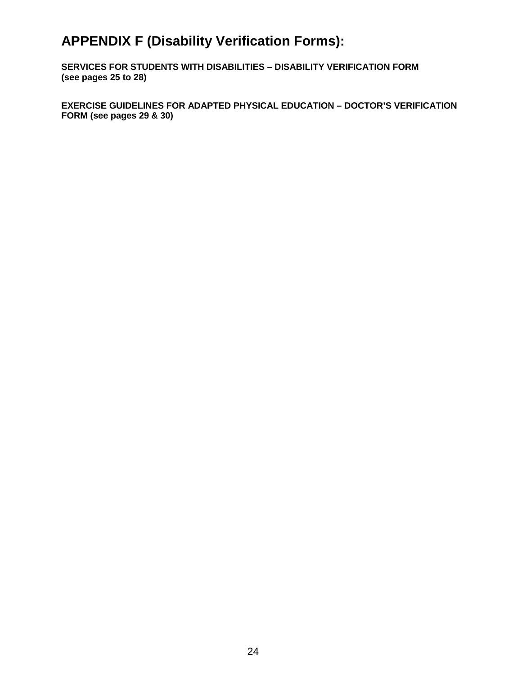# **APPENDIX F (Disability Verification Forms):**

**SERVICES FOR STUDENTS WITH DISABILITIES – DISABILITY VERIFICATION FORM (see pages 25 to 28)** 

**EXERCISE GUIDELINES FOR ADAPTED PHYSICAL EDUCATION – DOCTOR'S VERIFICATION FORM (see pages 29 & 30)**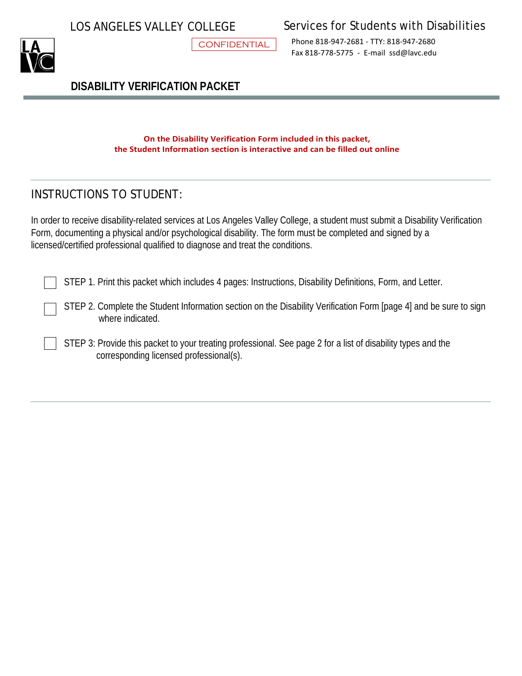CONFIDENTIAL

LOS ANGELES VALLEY COLLEGE Services for Students with Disabilities

Phone 818-947-2681 - TTY: 818-947-2680 Fax 818-778-5775 - E-mail [ssd@lavc.edu](mailto:ssd@lavc.edu)

**DISABILITY VERIFICATION PACKET**

**On the Disability Verification Form included in this packet, the Student Information section is interactive and can be filled out online**

## INSTRUCTIONS TO STUDENT:

In order to receive disability-related services at Los Angeles Valley College, a student must submit a Disability Verification Form, documenting a physical and/or psychological disability. The form must be completed and signed by a licensed/certified professional qualified to diagnose and treat the conditions.

STEP 1. Print this packet which includes 4 pages: Instructions, Disability Definitions, Form, and Letter.

STEP 2. Complete the Student Information section on the Disability Verification Form [page 4] and be sure to sign where indicated.

STEP 3: Provide this packet to your treating professional. See page 2 for a list of disability types and the corresponding licensed professional(s).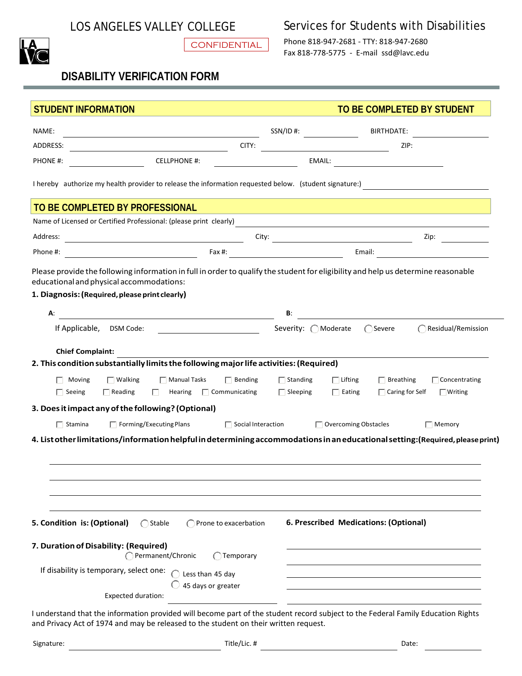**CONFIDENTIAL** 

## LOS ANGELES VALLEY COLLEGE Services for Students with Disabilities

Phone 818-947-2681 - TTY: 818-947-2680 Fax 818-778-5775 - E-mail [ssd@lavc.edu](mailto:ssd@lavc.edu)

## **DISABILITY VERIFICATION FORM**

| <b>STUDENT INFORMATION</b>                                                                                                                                                                                                                    | TO BE COMPLETED BY STUDENT                                                                                                                                    |
|-----------------------------------------------------------------------------------------------------------------------------------------------------------------------------------------------------------------------------------------------|---------------------------------------------------------------------------------------------------------------------------------------------------------------|
| NAME:<br><u> 1989 - Johann Barbara, martxa alemaniar arg</u>                                                                                                                                                                                  |                                                                                                                                                               |
| CITY:<br>ADDRESS:<br><u> 1989 - Johann Barbara, martxa a</u>                                                                                                                                                                                  | ZIP:                                                                                                                                                          |
| CELLPHONE #:<br>PHONE #:                                                                                                                                                                                                                      |                                                                                                                                                               |
| I hereby authorize my health provider to release the information requested below. (student signature:)                                                                                                                                        |                                                                                                                                                               |
| TO BE COMPLETED BY PROFESSIONAL                                                                                                                                                                                                               | and the control of the control of the control of the control of the control of the control of the control of the                                              |
| Name of Licensed or Certified Professional: (please print clearly)<br><u>Came of Licensed or Certified Professional:</u> (please print clearly)<br><u>Came and Came and Came and Came and Came and Came and Came and Came and Came and Ca</u> |                                                                                                                                                               |
| Address:<br><u> 1989 - Johann Barbara, martxa amerikan per</u>                                                                                                                                                                                | Zip: $\qquad \qquad \overline{\qquad \qquad }$                                                                                                                |
| Phone #:                                                                                                                                                                                                                                      |                                                                                                                                                               |
| Please provide the following information in full in order to qualify the student for eligibility and help us determine reasonable<br>educational and physical accommodations:<br>1. Diagnosis: (Required, please print clearly)               |                                                                                                                                                               |
|                                                                                                                                                                                                                                               |                                                                                                                                                               |
| А:<br><u> 1989 - Jan Stein Stein Stein Stein Stein Stein Stein Stein Stein Stein Stein Stein Stein Stein Stein Stein S</u>                                                                                                                    | В:                                                                                                                                                            |
| If Applicable, DSM Code:                                                                                                                                                                                                                      | Severity: OModerate<br>◯ Severe<br>◯ Residual/Remission                                                                                                       |
| <b>Chief Complaint:</b>                                                                                                                                                                                                                       |                                                                                                                                                               |
| 2. This condition substantially limits the following major life activities: (Required)                                                                                                                                                        |                                                                                                                                                               |
| $\Box$ Walking<br>$\Box$ Manual Tasks<br>$\Box$ Bending<br>Moving<br>Hearing $\Box$ Communicating<br>$\Box$ Seeing<br>$\Box$ Reading<br>E.                                                                                                    | $\Box$ Standing<br>$\Box$ Lifting<br>$\Box$ Concentrating<br>$\Box$ Breathing<br>$\Box$ Sleeping<br>$\Box$ Caring for Self<br>$\Box$ Eating<br>$\Box$ Writing |
| 3. Does it impact any of the following? (Optional)                                                                                                                                                                                            |                                                                                                                                                               |
| $\Box$ Forming/Executing Plans<br>$\Box$ Stamina                                                                                                                                                                                              | $\Box$ Overcoming Obstacles<br>$\Box$ Social Interaction<br>$\Box$ Memory                                                                                     |
| 4. List other limitations/information helpful in determining accommodations in an educational setting: (Required, please print)                                                                                                               |                                                                                                                                                               |
|                                                                                                                                                                                                                                               |                                                                                                                                                               |
|                                                                                                                                                                                                                                               |                                                                                                                                                               |
|                                                                                                                                                                                                                                               |                                                                                                                                                               |
|                                                                                                                                                                                                                                               |                                                                                                                                                               |
| 5. Condition is: (Optional)<br>$\bigcap$ Stable<br>Prone to exacerbation                                                                                                                                                                      | 6. Prescribed Medications: (Optional)                                                                                                                         |
| 7. Duration of Disability: (Required)<br>Permanent/Chronic<br>Temporary                                                                                                                                                                       |                                                                                                                                                               |
| If disability is temporary, select one:<br>Less than 45 day                                                                                                                                                                                   |                                                                                                                                                               |
| 45 days or greater<br><b>Expected duration:</b>                                                                                                                                                                                               |                                                                                                                                                               |
| I understand that the information provided will become part of the student record subject to the Federal Family Education Rights                                                                                                              |                                                                                                                                                               |

and Privacy Act of 1974 and may be released to the student on their written request.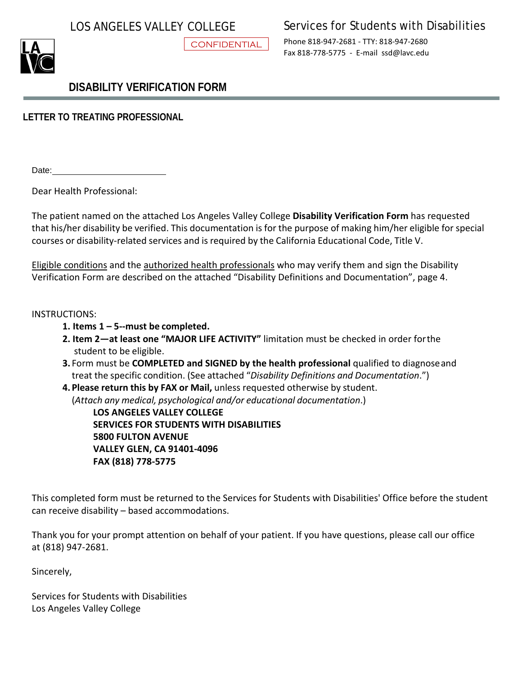**CONFIDENTIAL** 

## LOS ANGELES VALLEY COLLEGE Services for Students with Disabilities

Phone 818-947-2681 - TTY: 818-947-2680 Fax 818-778-5775 - E-mail [ssd@lavc.edu](mailto:ssd@lavc.edu)

## **DISABILITY VERIFICATION FORM**

**LETTER TO TREATING PROFESSIONAL**

Date:

Dear Health Professional:

The patient named on the attached Los Angeles Valley College **Disability Verification Form** has requested that his/her disability be verified. This documentation is for the purpose of making him/her eligible for special courses or disability-related services and is required by the California Educational Code, Title V.

Eligible conditions and the authorized health professionals who may verify them and sign the Disability Verification Form are described on the attached "Disability Definitions and Documentation", page 4.

### INSTRUCTIONS:

- **1. Items 1 5--must be completed.**
- **2. Item 2—at least one "MAJOR LIFE ACTIVITY"** limitation must be checked in order forthe student to be eligible.
- **3.** Form must be **COMPLETED and SIGNED by the health professional** qualified to diagnoseand treat the specific condition. (See attached "*Disability Definitions and Documentation*.")
- **4. Please return this by FAX or Mail,** unless requested otherwise by student. (*Attach any medical, psychological and/or educational documentation*.)

**LOS ANGELES VALLEY COLLEGE SERVICES FOR STUDENTS WITH DISABILITIES 5800 FULTON AVENUE VALLEY GLEN, CA 91401-4096 FAX (818) 778-5775**

This completed form must be returned to the Services for Students with Disabilities' Office before the student can receive disability – based accommodations.

Thank you for your prompt attention on behalf of your patient. If you have questions, please call our office at (818) 947-2681.

Sincerely,

Services for Students with Disabilities Los Angeles Valley College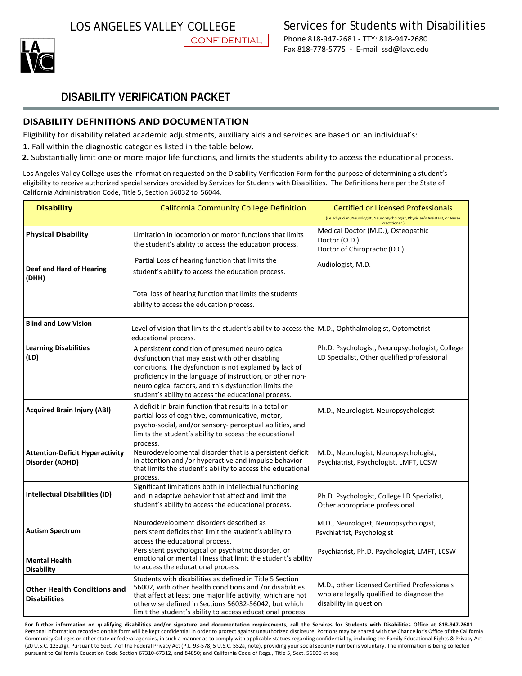

## **DISABILITY VERIFICATION PACKET**

#### **DISABILITY DEFINITIONS AND DOCUMENTATION**

Eligibility for disability related academic adjustments, auxiliary aids and services are based on an individual's:

**CONFIDENTIAL** 

- **1.** Fall within the diagnostic categories listed in the table below.
- **2.** Substantially limit one or more major life functions, and limits the students ability to access the educational process.

Los Angeles Valley College uses the information requested on the Disability Verification Form for the purpose of determining a student's eligibility to receive authorized special services provided by Services for Students with Disabilities. The Definitions here per the State of California Administration Code, Title 5, Section 56032 to 56044.

| <b>Disability</b>                                         | <b>California Community College Definition</b>                                                                                                                                                                                                                                                                                              | <b>Certified or Licensed Professionals</b><br>(i.e. Physician, Neurologist, Neuropsychologist, Physician's Assistant, or Nurse<br>Practitioner.) |
|-----------------------------------------------------------|---------------------------------------------------------------------------------------------------------------------------------------------------------------------------------------------------------------------------------------------------------------------------------------------------------------------------------------------|--------------------------------------------------------------------------------------------------------------------------------------------------|
| <b>Physical Disability</b>                                | Limitation in locomotion or motor functions that limits<br>the student's ability to access the education process.                                                                                                                                                                                                                           | Medical Doctor (M.D.), Osteopathic<br>Doctor (O.D.)<br>Doctor of Chiropractic (D.C)                                                              |
| <b>Deaf and Hard of Hearing</b><br>(DHH)                  | Partial Loss of hearing function that limits the<br>student's ability to access the education process.                                                                                                                                                                                                                                      | Audiologist, M.D.                                                                                                                                |
|                                                           | Total loss of hearing function that limits the students<br>ability to access the education process.                                                                                                                                                                                                                                         |                                                                                                                                                  |
| <b>Blind and Low Vision</b>                               | Level of vision that limits the student's ability to access the $ M.D., Q$ phthalmologist, Optometrist<br>educational process.                                                                                                                                                                                                              |                                                                                                                                                  |
| <b>Learning Disabilities</b><br>(ID)                      | A persistent condition of presumed neurological<br>dysfunction that may exist with other disabling<br>conditions. The dysfunction is not explained by lack of<br>proficiency in the language of instruction, or other non-<br>neurological factors, and this dysfunction limits the<br>student's ability to access the educational process. | Ph.D. Psychologist, Neuropsychologist, College<br>LD Specialist, Other qualified professional                                                    |
| <b>Acquired Brain Injury (ABI)</b>                        | A deficit in brain function that results in a total or<br>partial loss of cognitive, communicative, motor,<br>psycho-social, and/or sensory- perceptual abilities, and<br>limits the student's ability to access the educational<br>process.                                                                                                | M.D., Neurologist, Neuropsychologist                                                                                                             |
| <b>Attention-Deficit Hyperactivity</b><br>Disorder (ADHD) | Neurodevelopmental disorder that is a persistent deficit<br>in attention and /or hyperactive and impulse behavior<br>that limits the student's ability to access the educational<br>process.                                                                                                                                                | M.D., Neurologist, Neuropsychologist,<br>Psychiatrist, Psychologist, LMFT, LCSW                                                                  |
| Intellectual Disabilities (ID)                            | Significant limitations both in intellectual functioning<br>and in adaptive behavior that affect and limit the<br>student's ability to access the educational process.                                                                                                                                                                      | Ph.D. Psychologist, College LD Specialist,<br>Other appropriate professional                                                                     |
| <b>Autism Spectrum</b>                                    | Neurodevelopment disorders described as<br>persistent deficits that limit the student's ability to<br>access the educational process.                                                                                                                                                                                                       | M.D., Neurologist, Neuropsychologist,<br>Psychiatrist, Psychologist                                                                              |
| <b>Mental Health</b><br><b>Disability</b>                 | Persistent psychological or psychiatric disorder, or<br>emotional or mental illness that limit the student's ability<br>to access the educational process.                                                                                                                                                                                  | Psychiatrist, Ph.D. Psychologist, LMFT, LCSW                                                                                                     |
| <b>Other Health Conditions and</b><br><b>Disabilities</b> | Students with disabilities as defined in Title 5 Section<br>56002, with other health conditions and /or disabilities<br>that affect at least one major life activity, which are not<br>otherwise defined in Sections 56032-56042, but which<br>limit the student's ability to access educational process.                                   | M.D., other Licensed Certified Professionals<br>who are legally qualified to diagnose the<br>disability in question                              |

For further information on qualifying disabilities and/or signature and documentation requirements, call the Services for Students with Disabilities Office at 818-947-2681. Personal information recorded on this form will be kept confidential in order to protect against unauthorized disclosure. Portions may be shared with the Chancellor's Office of the California Community Colleges or other state or federal agencies, in such a manner as to comply with applicable statues regarding confidentiality, including the Family Educational Rights & Privacy Act (20 U.S.C. 1232(g). Pursuant to Sect. 7 of the Federal Privacy Act (P.L. 93-578, 5 U.S.C. 552a, note), providing your social security number is voluntary. The information is being collected pursuant to California Education Code Section 67310-67312, and 84850; and California Code of Regs., Title 5, Sect. 56000 et seq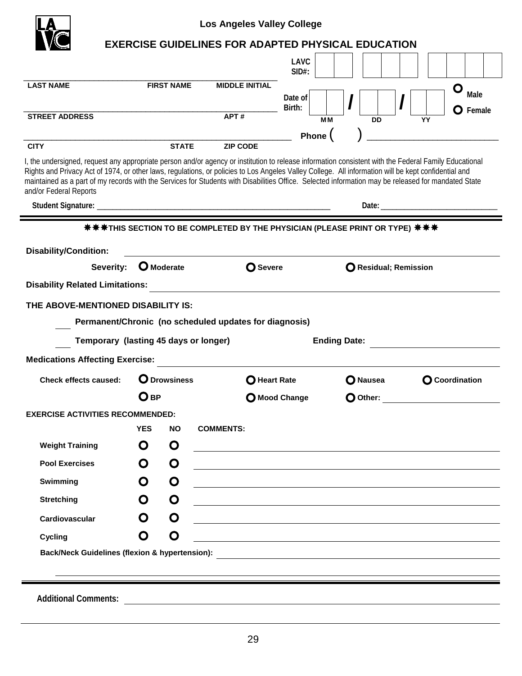| <b>EXERCISE GUIDELINES FOR ADAPTED PHYSICAL EDUCATION</b><br><b>LAVC</b><br>$SID#$ :<br><b>LAST NAME</b><br><b>FIRST NAME</b><br><b>MIDDLE INITIAL</b><br>O<br>Male<br>Date of<br>Birth:<br>APT#<br><b>STREET ADDRESS</b><br><b>MM</b><br><b>DD</b><br>YY<br>Phone (<br><b>STATE</b><br><b>CITY</b><br><b>ZIP CODE</b><br>I, the undersigned, request any appropriate person and/or agency or institution to release information consistent with the Federal Family Educational<br>Rights and Privacy Act of 1974, or other laws, regulations, or policies to Los Angeles Valley College. All information will be kept confidential and<br>maintained as a part of my records with the Services for Students with Disabilities Office. Selected information may be released for mandated State<br>and/or Federal Reports<br>Date: the contract of the contract of the contract of the contract of the contract of the contract of the contract of the contract of the contract of the contract of the contract of the contract of the contract of the cont<br><b>Disability/Condition:</b><br>Severity: O Moderate<br><b>O</b> Severe<br>O Residual; Remission<br><b>Disability Related Limitations:</b><br>THE ABOVE-MENTIONED DISABILITY IS:<br>Permanent/Chronic (no scheduled updates for diagnosis)<br>Temporary (lasting 45 days or longer)<br><b>Ending Date:</b><br><b>Medications Affecting Exercise:</b><br><b>O</b> Drowsiness<br><b>Check effects caused:</b><br><b>O</b> Coordination<br><b>O</b> Heart Rate<br>O Nausea<br>$O$ BP<br>Mood Change<br>O Other:<br><b>EXERCISE ACTIVITIES RECOMMENDED:</b><br><b>YES</b><br><b>COMMENTS:</b><br>NO.<br>O<br>O<br><b>Weight Training</b><br>O<br>O<br><b>Pool Exercises</b><br>O<br>O<br>Swimming<br><u> 1989 - Johann Stein, marwolaethau a bhann an t-Amhain ann an t-Amhain an t-Amhain an t-Amhain an t-Amhain an </u><br>O<br>O<br><b>Stretching</b><br><u> 1989 - Johann Stoff, amerikansk politiker (d. 1989)</u><br>$\mathbf O$<br>O<br>Cardiovascular<br>O<br>O<br>Cycling |                             |  | <b>Los Angeles Valley College</b>                  |  |                  |
|-----------------------------------------------------------------------------------------------------------------------------------------------------------------------------------------------------------------------------------------------------------------------------------------------------------------------------------------------------------------------------------------------------------------------------------------------------------------------------------------------------------------------------------------------------------------------------------------------------------------------------------------------------------------------------------------------------------------------------------------------------------------------------------------------------------------------------------------------------------------------------------------------------------------------------------------------------------------------------------------------------------------------------------------------------------------------------------------------------------------------------------------------------------------------------------------------------------------------------------------------------------------------------------------------------------------------------------------------------------------------------------------------------------------------------------------------------------------------------------------------------------------------------------------------------------------------------------------------------------------------------------------------------------------------------------------------------------------------------------------------------------------------------------------------------------------------------------------------------------------------------------------------------------------------------------------------------------------------------------------------------------------------------------------------|-----------------------------|--|----------------------------------------------------|--|------------------|
|                                                                                                                                                                                                                                                                                                                                                                                                                                                                                                                                                                                                                                                                                                                                                                                                                                                                                                                                                                                                                                                                                                                                                                                                                                                                                                                                                                                                                                                                                                                                                                                                                                                                                                                                                                                                                                                                                                                                                                                                                                               |                             |  |                                                    |  |                  |
|                                                                                                                                                                                                                                                                                                                                                                                                                                                                                                                                                                                                                                                                                                                                                                                                                                                                                                                                                                                                                                                                                                                                                                                                                                                                                                                                                                                                                                                                                                                                                                                                                                                                                                                                                                                                                                                                                                                                                                                                                                               |                             |  |                                                    |  |                  |
|                                                                                                                                                                                                                                                                                                                                                                                                                                                                                                                                                                                                                                                                                                                                                                                                                                                                                                                                                                                                                                                                                                                                                                                                                                                                                                                                                                                                                                                                                                                                                                                                                                                                                                                                                                                                                                                                                                                                                                                                                                               |                             |  |                                                    |  | $\bullet$ Female |
|                                                                                                                                                                                                                                                                                                                                                                                                                                                                                                                                                                                                                                                                                                                                                                                                                                                                                                                                                                                                                                                                                                                                                                                                                                                                                                                                                                                                                                                                                                                                                                                                                                                                                                                                                                                                                                                                                                                                                                                                                                               |                             |  |                                                    |  |                  |
|                                                                                                                                                                                                                                                                                                                                                                                                                                                                                                                                                                                                                                                                                                                                                                                                                                                                                                                                                                                                                                                                                                                                                                                                                                                                                                                                                                                                                                                                                                                                                                                                                                                                                                                                                                                                                                                                                                                                                                                                                                               |                             |  |                                                    |  |                  |
|                                                                                                                                                                                                                                                                                                                                                                                                                                                                                                                                                                                                                                                                                                                                                                                                                                                                                                                                                                                                                                                                                                                                                                                                                                                                                                                                                                                                                                                                                                                                                                                                                                                                                                                                                                                                                                                                                                                                                                                                                                               |                             |  |                                                    |  |                  |
|                                                                                                                                                                                                                                                                                                                                                                                                                                                                                                                                                                                                                                                                                                                                                                                                                                                                                                                                                                                                                                                                                                                                                                                                                                                                                                                                                                                                                                                                                                                                                                                                                                                                                                                                                                                                                                                                                                                                                                                                                                               |                             |  |                                                    |  |                  |
|                                                                                                                                                                                                                                                                                                                                                                                                                                                                                                                                                                                                                                                                                                                                                                                                                                                                                                                                                                                                                                                                                                                                                                                                                                                                                                                                                                                                                                                                                                                                                                                                                                                                                                                                                                                                                                                                                                                                                                                                                                               |                             |  |                                                    |  |                  |
|                                                                                                                                                                                                                                                                                                                                                                                                                                                                                                                                                                                                                                                                                                                                                                                                                                                                                                                                                                                                                                                                                                                                                                                                                                                                                                                                                                                                                                                                                                                                                                                                                                                                                                                                                                                                                                                                                                                                                                                                                                               |                             |  |                                                    |  |                  |
|                                                                                                                                                                                                                                                                                                                                                                                                                                                                                                                                                                                                                                                                                                                                                                                                                                                                                                                                                                                                                                                                                                                                                                                                                                                                                                                                                                                                                                                                                                                                                                                                                                                                                                                                                                                                                                                                                                                                                                                                                                               |                             |  |                                                    |  |                  |
|                                                                                                                                                                                                                                                                                                                                                                                                                                                                                                                                                                                                                                                                                                                                                                                                                                                                                                                                                                                                                                                                                                                                                                                                                                                                                                                                                                                                                                                                                                                                                                                                                                                                                                                                                                                                                                                                                                                                                                                                                                               |                             |  |                                                    |  |                  |
|                                                                                                                                                                                                                                                                                                                                                                                                                                                                                                                                                                                                                                                                                                                                                                                                                                                                                                                                                                                                                                                                                                                                                                                                                                                                                                                                                                                                                                                                                                                                                                                                                                                                                                                                                                                                                                                                                                                                                                                                                                               |                             |  |                                                    |  |                  |
|                                                                                                                                                                                                                                                                                                                                                                                                                                                                                                                                                                                                                                                                                                                                                                                                                                                                                                                                                                                                                                                                                                                                                                                                                                                                                                                                                                                                                                                                                                                                                                                                                                                                                                                                                                                                                                                                                                                                                                                                                                               |                             |  |                                                    |  |                  |
|                                                                                                                                                                                                                                                                                                                                                                                                                                                                                                                                                                                                                                                                                                                                                                                                                                                                                                                                                                                                                                                                                                                                                                                                                                                                                                                                                                                                                                                                                                                                                                                                                                                                                                                                                                                                                                                                                                                                                                                                                                               |                             |  |                                                    |  |                  |
|                                                                                                                                                                                                                                                                                                                                                                                                                                                                                                                                                                                                                                                                                                                                                                                                                                                                                                                                                                                                                                                                                                                                                                                                                                                                                                                                                                                                                                                                                                                                                                                                                                                                                                                                                                                                                                                                                                                                                                                                                                               |                             |  |                                                    |  |                  |
|                                                                                                                                                                                                                                                                                                                                                                                                                                                                                                                                                                                                                                                                                                                                                                                                                                                                                                                                                                                                                                                                                                                                                                                                                                                                                                                                                                                                                                                                                                                                                                                                                                                                                                                                                                                                                                                                                                                                                                                                                                               |                             |  |                                                    |  |                  |
|                                                                                                                                                                                                                                                                                                                                                                                                                                                                                                                                                                                                                                                                                                                                                                                                                                                                                                                                                                                                                                                                                                                                                                                                                                                                                                                                                                                                                                                                                                                                                                                                                                                                                                                                                                                                                                                                                                                                                                                                                                               |                             |  |                                                    |  |                  |
|                                                                                                                                                                                                                                                                                                                                                                                                                                                                                                                                                                                                                                                                                                                                                                                                                                                                                                                                                                                                                                                                                                                                                                                                                                                                                                                                                                                                                                                                                                                                                                                                                                                                                                                                                                                                                                                                                                                                                                                                                                               |                             |  |                                                    |  |                  |
|                                                                                                                                                                                                                                                                                                                                                                                                                                                                                                                                                                                                                                                                                                                                                                                                                                                                                                                                                                                                                                                                                                                                                                                                                                                                                                                                                                                                                                                                                                                                                                                                                                                                                                                                                                                                                                                                                                                                                                                                                                               |                             |  |                                                    |  |                  |
|                                                                                                                                                                                                                                                                                                                                                                                                                                                                                                                                                                                                                                                                                                                                                                                                                                                                                                                                                                                                                                                                                                                                                                                                                                                                                                                                                                                                                                                                                                                                                                                                                                                                                                                                                                                                                                                                                                                                                                                                                                               |                             |  |                                                    |  |                  |
|                                                                                                                                                                                                                                                                                                                                                                                                                                                                                                                                                                                                                                                                                                                                                                                                                                                                                                                                                                                                                                                                                                                                                                                                                                                                                                                                                                                                                                                                                                                                                                                                                                                                                                                                                                                                                                                                                                                                                                                                                                               |                             |  |                                                    |  |                  |
|                                                                                                                                                                                                                                                                                                                                                                                                                                                                                                                                                                                                                                                                                                                                                                                                                                                                                                                                                                                                                                                                                                                                                                                                                                                                                                                                                                                                                                                                                                                                                                                                                                                                                                                                                                                                                                                                                                                                                                                                                                               |                             |  |                                                    |  |                  |
|                                                                                                                                                                                                                                                                                                                                                                                                                                                                                                                                                                                                                                                                                                                                                                                                                                                                                                                                                                                                                                                                                                                                                                                                                                                                                                                                                                                                                                                                                                                                                                                                                                                                                                                                                                                                                                                                                                                                                                                                                                               |                             |  |                                                    |  |                  |
|                                                                                                                                                                                                                                                                                                                                                                                                                                                                                                                                                                                                                                                                                                                                                                                                                                                                                                                                                                                                                                                                                                                                                                                                                                                                                                                                                                                                                                                                                                                                                                                                                                                                                                                                                                                                                                                                                                                                                                                                                                               |                             |  |                                                    |  |                  |
|                                                                                                                                                                                                                                                                                                                                                                                                                                                                                                                                                                                                                                                                                                                                                                                                                                                                                                                                                                                                                                                                                                                                                                                                                                                                                                                                                                                                                                                                                                                                                                                                                                                                                                                                                                                                                                                                                                                                                                                                                                               |                             |  |                                                    |  |                  |
|                                                                                                                                                                                                                                                                                                                                                                                                                                                                                                                                                                                                                                                                                                                                                                                                                                                                                                                                                                                                                                                                                                                                                                                                                                                                                                                                                                                                                                                                                                                                                                                                                                                                                                                                                                                                                                                                                                                                                                                                                                               |                             |  |                                                    |  |                  |
|                                                                                                                                                                                                                                                                                                                                                                                                                                                                                                                                                                                                                                                                                                                                                                                                                                                                                                                                                                                                                                                                                                                                                                                                                                                                                                                                                                                                                                                                                                                                                                                                                                                                                                                                                                                                                                                                                                                                                                                                                                               |                             |  |                                                    |  |                  |
|                                                                                                                                                                                                                                                                                                                                                                                                                                                                                                                                                                                                                                                                                                                                                                                                                                                                                                                                                                                                                                                                                                                                                                                                                                                                                                                                                                                                                                                                                                                                                                                                                                                                                                                                                                                                                                                                                                                                                                                                                                               | <b>Additional Comments:</b> |  | <u> 1989 - John Stein, Amerikaansk politiker (</u> |  |                  |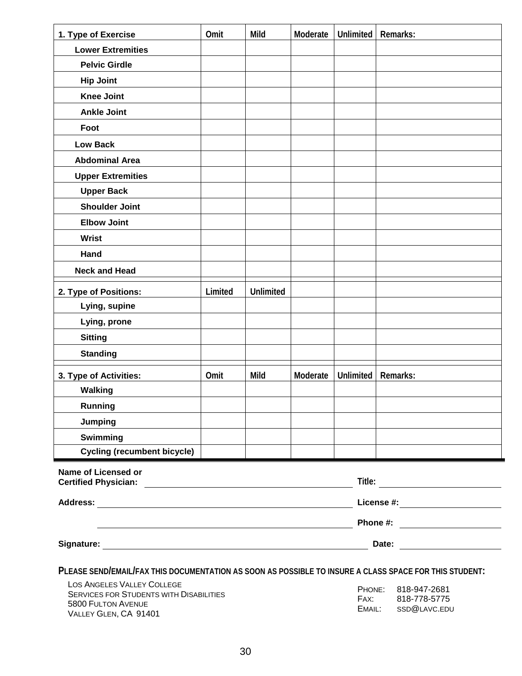| 1. Type of Exercise                                                                                    | Omit    | Mild             | Moderate | <b>Unlimited</b> | Remarks:                                                                                                       |
|--------------------------------------------------------------------------------------------------------|---------|------------------|----------|------------------|----------------------------------------------------------------------------------------------------------------|
| <b>Lower Extremities</b>                                                                               |         |                  |          |                  |                                                                                                                |
| <b>Pelvic Girdle</b>                                                                                   |         |                  |          |                  |                                                                                                                |
| <b>Hip Joint</b>                                                                                       |         |                  |          |                  |                                                                                                                |
| <b>Knee Joint</b>                                                                                      |         |                  |          |                  |                                                                                                                |
| <b>Ankle Joint</b>                                                                                     |         |                  |          |                  |                                                                                                                |
| Foot                                                                                                   |         |                  |          |                  |                                                                                                                |
| <b>Low Back</b>                                                                                        |         |                  |          |                  |                                                                                                                |
| <b>Abdominal Area</b>                                                                                  |         |                  |          |                  |                                                                                                                |
| <b>Upper Extremities</b>                                                                               |         |                  |          |                  |                                                                                                                |
| <b>Upper Back</b>                                                                                      |         |                  |          |                  |                                                                                                                |
| <b>Shoulder Joint</b>                                                                                  |         |                  |          |                  |                                                                                                                |
| <b>Elbow Joint</b>                                                                                     |         |                  |          |                  |                                                                                                                |
| <b>Wrist</b>                                                                                           |         |                  |          |                  |                                                                                                                |
| Hand                                                                                                   |         |                  |          |                  |                                                                                                                |
| <b>Neck and Head</b>                                                                                   |         |                  |          |                  |                                                                                                                |
| 2. Type of Positions:                                                                                  | Limited | <b>Unlimited</b> |          |                  |                                                                                                                |
| Lying, supine                                                                                          |         |                  |          |                  |                                                                                                                |
| Lying, prone                                                                                           |         |                  |          |                  |                                                                                                                |
| <b>Sitting</b>                                                                                         |         |                  |          |                  |                                                                                                                |
| <b>Standing</b>                                                                                        |         |                  |          |                  |                                                                                                                |
| 3. Type of Activities:                                                                                 | Omit    | Mild             | Moderate | <b>Unlimited</b> | Remarks:                                                                                                       |
| <b>Walking</b>                                                                                         |         |                  |          |                  |                                                                                                                |
| Running                                                                                                |         |                  |          |                  |                                                                                                                |
| Jumping                                                                                                |         |                  |          |                  |                                                                                                                |
| Swimming                                                                                               |         |                  |          |                  |                                                                                                                |
| <b>Cycling (recumbent bicycle)</b>                                                                     |         |                  |          |                  |                                                                                                                |
| <b>Name of Licensed or</b>                                                                             |         |                  |          |                  |                                                                                                                |
|                                                                                                        |         |                  |          |                  |                                                                                                                |
|                                                                                                        |         |                  |          |                  | License #: the contract of the contract of the contract of the contract of the contract of the contract of the |
|                                                                                                        |         |                  |          |                  | Phone #: <u>_________________</u>                                                                              |
|                                                                                                        |         |                  |          |                  | Date: <u>_____________</u>                                                                                     |
| PLEASE SEND/EMAIL/FAX THIS DOCUMENTATION AS SOON AS POSSIBLE TO INSURE A CLASS SPACE FOR THIS STUDENT: |         |                  |          |                  |                                                                                                                |
| LOS ANGELES VALLEY COLLEGE                                                                             |         |                  |          | PHONE:           | 818-947-2681                                                                                                   |
| <b>SERVICES FOR STUDENTS WITH DISABILITIES</b><br>5800 FULTON AVENUE                                   |         |                  |          | FAX:             | 818-778-5775                                                                                                   |
| $V$ ALLEY CLEN CA 01401                                                                                |         |                  |          | EMAIL:           | SSD@LAVC.EDU                                                                                                   |

VALLEY GLEN, CA 91401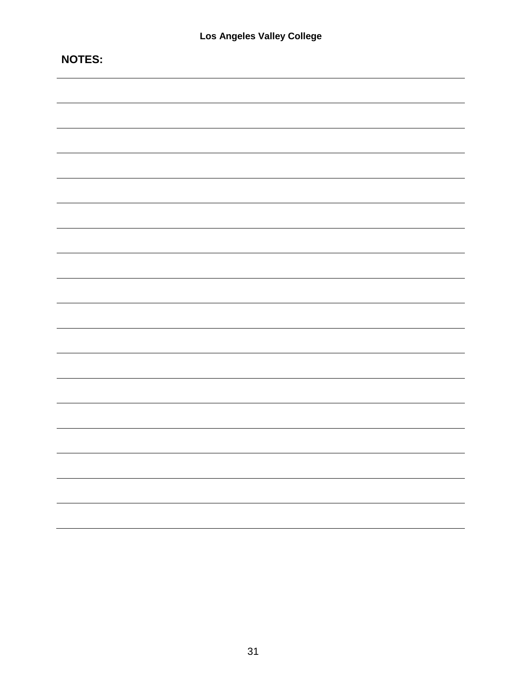| <b>NOTES:</b> |
|---------------|
|               |
|               |
|               |
|               |
|               |
|               |
|               |
|               |
|               |
|               |
|               |
|               |
|               |
|               |
|               |
|               |
|               |
|               |
|               |